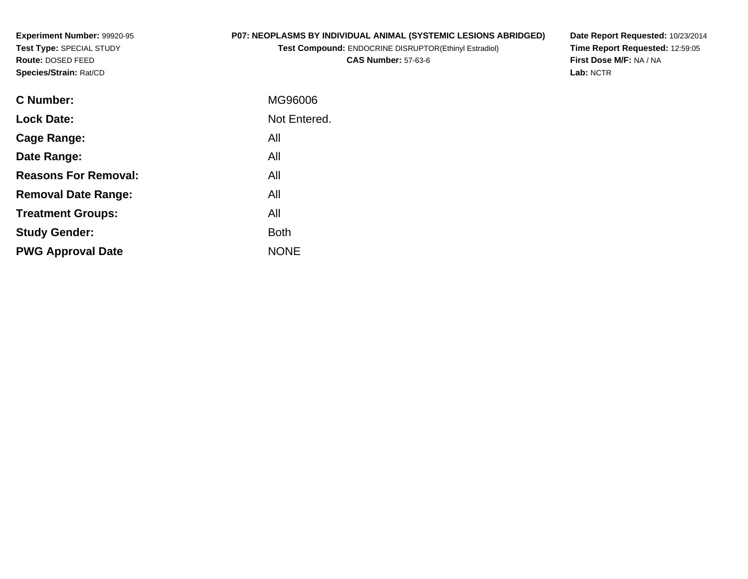**Experiment Number:** 99920-95**Test Type:** SPECIAL STUDY**Route:** DOSED FEED**Species/Strain:** Rat/CD

## **P07: NEOPLASMS BY INDIVIDUAL ANIMAL (SYSTEMIC LESIONS ABRIDGED)**

**Test Compound:** ENDOCRINE DISRUPTOR(Ethinyl Estradiol)

**CAS Number:** 57-63-6

**Date Report Requested:** 10/23/2014 **Time Report Requested:** 12:59:05**First Dose M/F:** NA / NA**Lab:** NCTR

| <b>C</b> Number:            | MG96006      |
|-----------------------------|--------------|
| <b>Lock Date:</b>           | Not Entered. |
| Cage Range:                 | All          |
| Date Range:                 | All          |
| <b>Reasons For Removal:</b> | All          |
| <b>Removal Date Range:</b>  | All          |
| <b>Treatment Groups:</b>    | All          |
| <b>Study Gender:</b>        | <b>Both</b>  |
| <b>PWG Approval Date</b>    | <b>NONE</b>  |
|                             |              |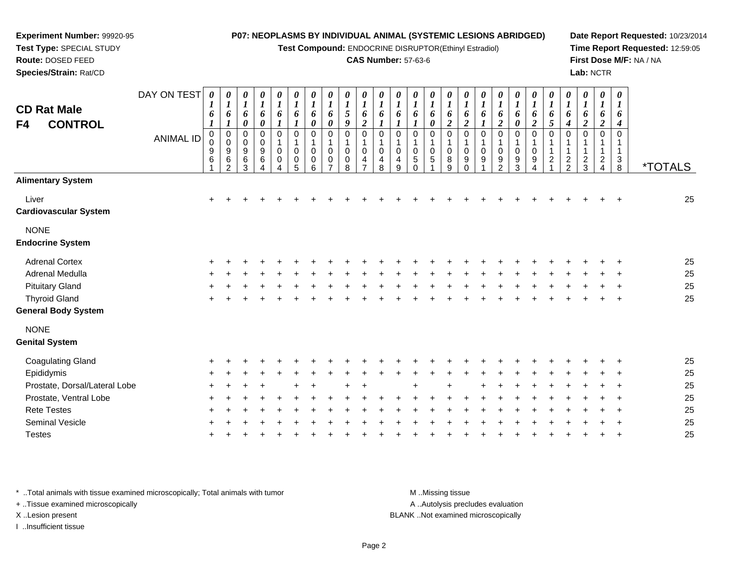**Test Compound:** ENDOCRINE DISRUPTOR(Ethinyl Estradiol)

#### **CAS Number:** 57-63-6

**Date Report Requested:** 10/23/2014**Time Report Requested:** 12:59:05**First Dose M/F:** NA / NA**Lab:** NCTR

| <b>CD Rat Male</b><br>F4<br><b>CONTROL</b> | DAY ON TEST<br><b>ANIMAL ID</b> | 0<br>1<br>6<br>1<br>$\pmb{0}$<br>0<br>9<br>6 | 0<br>1<br>6<br>1<br>$\mathbf 0$<br>$\mathbf 0$<br>$\boldsymbol{9}$<br>6<br>$\overline{2}$ | 0<br>$\boldsymbol{l}$<br>6<br>0<br>0<br>0<br>9<br>6<br>3 | 0<br>$\boldsymbol{l}$<br>6<br>0<br>0<br>0<br>$\boldsymbol{9}$<br>$\,6\,$ | 0<br>$\boldsymbol{l}$<br>6<br>1<br>$\mathbf 0$<br>$\mathbf 1$<br>0<br>$\mathbf 0$ | $\boldsymbol{\theta}$<br>$\boldsymbol{l}$<br>6<br>$\mathbf 0$<br>$\mathbf 1$<br>$\mathbf 0$<br>$\mathbf 0$<br>5 | 0<br>$\boldsymbol{l}$<br>6<br>0<br>$\mathbf 0$<br>$\mathbf 0$<br>$\mathbf 0$<br>6 | 0<br>$\boldsymbol{l}$<br>6<br>0<br>$\mathbf 0$<br>-1<br>$\Omega$<br>0 | 0<br>$\boldsymbol{l}$<br>5<br>9<br>$\mathbf 0$<br>0<br>0<br>8 | 0<br>6<br>$\boldsymbol{2}$<br>$\mathbf 0$<br>$\Omega$<br>4 | 0<br>$\boldsymbol{l}$<br>6<br>0<br>0<br>4<br>8 | $\boldsymbol{\theta}$<br>$\boldsymbol{l}$<br>6<br>$\Omega$<br>$\pmb{0}$<br>$\overline{4}$<br>9 | 0<br>$\boldsymbol{l}$<br>6<br>0<br>1<br>0<br>5<br>$\Omega$ | 0<br>$\boldsymbol{\mathit{1}}$<br>6<br>0<br>$\mathbf 0$<br>1<br>$\mathbf 0$<br>5 | 0<br>$\boldsymbol{l}$<br>6<br>$\boldsymbol{2}$<br>$\mathbf 0$<br>1<br>0<br>8<br>9 | $\boldsymbol{\theta}$<br>$\boldsymbol{l}$<br>6<br>$\boldsymbol{2}$<br>$\mathbf 0$<br>$\mathbf{1}$<br>$\mathbf 0$<br>9<br>$\Omega$ | 0<br>$\boldsymbol{l}$<br>6<br>$\boldsymbol{l}$<br>$\mathbf 0$<br>$\mathbf 0$<br>9 | $\boldsymbol{\theta}$<br>$\boldsymbol{l}$<br>6<br>$\boldsymbol{2}$<br>$\overline{0}$<br>$\mathbf{1}$<br>$\mathbf 0$<br>9<br>$\mathcal{D}$ | 0<br>$\boldsymbol{l}$<br>6<br>$\pmb{\theta}$<br>$\mathbf 0$<br>1<br>$\pmb{0}$<br>$\boldsymbol{9}$<br>3 | $\boldsymbol{\theta}$<br>$\boldsymbol{l}$<br>6<br>$\boldsymbol{2}$<br>$\pmb{0}$<br>$\mathbf{1}$<br>$\pmb{0}$<br>9<br>4 | 0<br>$\boldsymbol{l}$<br>6<br>$\mathfrak{s}$<br>0<br>$\mathbf{1}$<br>$\mathbf{1}$<br>$\boldsymbol{2}$ | 0<br>$\boldsymbol{l}$<br>6<br>4<br>$\pmb{0}$<br>$\mathbf{1}$<br>$\mathbf{1}$<br>$\overline{2}$<br>$\overline{2}$ | 0<br>$\boldsymbol{l}$<br>6<br>$\boldsymbol{2}$<br>$\mathbf 0$<br>$\mathbf{1}$<br>$\mathbf{1}$<br>$\overline{\mathbf{c}}$<br>3 | $\boldsymbol{\theta}$<br>$\boldsymbol{l}$<br>6<br>$\overline{2}$<br>$\mathbf 0$<br>$\mathbf{1}$<br>1<br>$\overline{a}$<br>4 | 0<br>$\boldsymbol{l}$<br>6<br>4<br>$\mathbf 0$<br>$\mathbf 1$<br>$\ensuremath{\mathsf{3}}$<br>8 | <i><b>*TOTALS</b></i> |
|--------------------------------------------|---------------------------------|----------------------------------------------|-------------------------------------------------------------------------------------------|----------------------------------------------------------|--------------------------------------------------------------------------|-----------------------------------------------------------------------------------|-----------------------------------------------------------------------------------------------------------------|-----------------------------------------------------------------------------------|-----------------------------------------------------------------------|---------------------------------------------------------------|------------------------------------------------------------|------------------------------------------------|------------------------------------------------------------------------------------------------|------------------------------------------------------------|----------------------------------------------------------------------------------|-----------------------------------------------------------------------------------|-----------------------------------------------------------------------------------------------------------------------------------|-----------------------------------------------------------------------------------|-------------------------------------------------------------------------------------------------------------------------------------------|--------------------------------------------------------------------------------------------------------|------------------------------------------------------------------------------------------------------------------------|-------------------------------------------------------------------------------------------------------|------------------------------------------------------------------------------------------------------------------|-------------------------------------------------------------------------------------------------------------------------------|-----------------------------------------------------------------------------------------------------------------------------|-------------------------------------------------------------------------------------------------|-----------------------|
| <b>Alimentary System</b>                   |                                 |                                              |                                                                                           |                                                          |                                                                          |                                                                                   |                                                                                                                 |                                                                                   |                                                                       |                                                               |                                                            |                                                |                                                                                                |                                                            |                                                                                  |                                                                                   |                                                                                                                                   |                                                                                   |                                                                                                                                           |                                                                                                        |                                                                                                                        |                                                                                                       |                                                                                                                  |                                                                                                                               |                                                                                                                             |                                                                                                 |                       |
| Liver<br><b>Cardiovascular System</b>      |                                 | $\ddot{}$                                    |                                                                                           |                                                          |                                                                          |                                                                                   |                                                                                                                 |                                                                                   |                                                                       |                                                               |                                                            |                                                |                                                                                                |                                                            |                                                                                  |                                                                                   |                                                                                                                                   |                                                                                   |                                                                                                                                           |                                                                                                        |                                                                                                                        |                                                                                                       |                                                                                                                  |                                                                                                                               |                                                                                                                             |                                                                                                 | 25                    |
| <b>NONE</b><br><b>Endocrine System</b>     |                                 |                                              |                                                                                           |                                                          |                                                                          |                                                                                   |                                                                                                                 |                                                                                   |                                                                       |                                                               |                                                            |                                                |                                                                                                |                                                            |                                                                                  |                                                                                   |                                                                                                                                   |                                                                                   |                                                                                                                                           |                                                                                                        |                                                                                                                        |                                                                                                       |                                                                                                                  |                                                                                                                               |                                                                                                                             |                                                                                                 |                       |
| <b>Adrenal Cortex</b>                      |                                 |                                              |                                                                                           |                                                          |                                                                          |                                                                                   |                                                                                                                 |                                                                                   |                                                                       |                                                               |                                                            |                                                |                                                                                                |                                                            |                                                                                  |                                                                                   |                                                                                                                                   |                                                                                   |                                                                                                                                           |                                                                                                        |                                                                                                                        |                                                                                                       |                                                                                                                  |                                                                                                                               |                                                                                                                             |                                                                                                 | 25                    |
| Adrenal Medulla                            |                                 |                                              |                                                                                           |                                                          |                                                                          |                                                                                   |                                                                                                                 |                                                                                   |                                                                       |                                                               |                                                            |                                                |                                                                                                |                                                            |                                                                                  |                                                                                   |                                                                                                                                   |                                                                                   |                                                                                                                                           |                                                                                                        |                                                                                                                        |                                                                                                       |                                                                                                                  |                                                                                                                               |                                                                                                                             |                                                                                                 | 25                    |
| <b>Pituitary Gland</b>                     |                                 |                                              |                                                                                           |                                                          |                                                                          |                                                                                   |                                                                                                                 |                                                                                   |                                                                       |                                                               |                                                            |                                                |                                                                                                |                                                            |                                                                                  |                                                                                   |                                                                                                                                   |                                                                                   |                                                                                                                                           |                                                                                                        |                                                                                                                        |                                                                                                       |                                                                                                                  |                                                                                                                               |                                                                                                                             |                                                                                                 | 25                    |
| <b>Thyroid Gland</b>                       |                                 |                                              |                                                                                           |                                                          |                                                                          |                                                                                   |                                                                                                                 |                                                                                   |                                                                       |                                                               |                                                            |                                                |                                                                                                |                                                            |                                                                                  |                                                                                   |                                                                                                                                   |                                                                                   |                                                                                                                                           |                                                                                                        |                                                                                                                        |                                                                                                       |                                                                                                                  |                                                                                                                               |                                                                                                                             |                                                                                                 | 25                    |
| <b>General Body System</b>                 |                                 |                                              |                                                                                           |                                                          |                                                                          |                                                                                   |                                                                                                                 |                                                                                   |                                                                       |                                                               |                                                            |                                                |                                                                                                |                                                            |                                                                                  |                                                                                   |                                                                                                                                   |                                                                                   |                                                                                                                                           |                                                                                                        |                                                                                                                        |                                                                                                       |                                                                                                                  |                                                                                                                               |                                                                                                                             |                                                                                                 |                       |
| <b>NONE</b><br><b>Genital System</b>       |                                 |                                              |                                                                                           |                                                          |                                                                          |                                                                                   |                                                                                                                 |                                                                                   |                                                                       |                                                               |                                                            |                                                |                                                                                                |                                                            |                                                                                  |                                                                                   |                                                                                                                                   |                                                                                   |                                                                                                                                           |                                                                                                        |                                                                                                                        |                                                                                                       |                                                                                                                  |                                                                                                                               |                                                                                                                             |                                                                                                 |                       |
| <b>Coagulating Gland</b>                   |                                 |                                              |                                                                                           |                                                          |                                                                          |                                                                                   |                                                                                                                 |                                                                                   |                                                                       |                                                               |                                                            |                                                |                                                                                                |                                                            |                                                                                  |                                                                                   |                                                                                                                                   |                                                                                   |                                                                                                                                           |                                                                                                        |                                                                                                                        |                                                                                                       |                                                                                                                  |                                                                                                                               |                                                                                                                             |                                                                                                 | 25                    |
| Epididymis                                 |                                 |                                              |                                                                                           |                                                          |                                                                          |                                                                                   |                                                                                                                 |                                                                                   |                                                                       |                                                               |                                                            |                                                |                                                                                                |                                                            |                                                                                  |                                                                                   |                                                                                                                                   |                                                                                   |                                                                                                                                           |                                                                                                        |                                                                                                                        |                                                                                                       |                                                                                                                  |                                                                                                                               |                                                                                                                             |                                                                                                 | 25                    |
| Prostate, Dorsal/Lateral Lobe              |                                 |                                              |                                                                                           |                                                          |                                                                          |                                                                                   |                                                                                                                 |                                                                                   |                                                                       |                                                               |                                                            |                                                |                                                                                                |                                                            |                                                                                  |                                                                                   |                                                                                                                                   |                                                                                   |                                                                                                                                           |                                                                                                        |                                                                                                                        |                                                                                                       |                                                                                                                  |                                                                                                                               |                                                                                                                             |                                                                                                 | 25                    |
| Prostate, Ventral Lobe                     |                                 |                                              |                                                                                           |                                                          |                                                                          |                                                                                   |                                                                                                                 |                                                                                   |                                                                       |                                                               |                                                            |                                                |                                                                                                |                                                            |                                                                                  |                                                                                   |                                                                                                                                   |                                                                                   |                                                                                                                                           |                                                                                                        |                                                                                                                        |                                                                                                       |                                                                                                                  |                                                                                                                               |                                                                                                                             |                                                                                                 | 25                    |
| <b>Rete Testes</b>                         |                                 |                                              |                                                                                           |                                                          |                                                                          |                                                                                   |                                                                                                                 |                                                                                   |                                                                       |                                                               |                                                            |                                                |                                                                                                |                                                            |                                                                                  |                                                                                   |                                                                                                                                   |                                                                                   |                                                                                                                                           |                                                                                                        |                                                                                                                        |                                                                                                       |                                                                                                                  |                                                                                                                               |                                                                                                                             |                                                                                                 | 25                    |
| <b>Seminal Vesicle</b>                     |                                 |                                              |                                                                                           |                                                          |                                                                          |                                                                                   |                                                                                                                 |                                                                                   |                                                                       |                                                               |                                                            |                                                |                                                                                                |                                                            |                                                                                  |                                                                                   |                                                                                                                                   |                                                                                   |                                                                                                                                           |                                                                                                        |                                                                                                                        |                                                                                                       |                                                                                                                  |                                                                                                                               |                                                                                                                             |                                                                                                 | 25                    |
| <b>Testes</b>                              |                                 |                                              |                                                                                           |                                                          |                                                                          |                                                                                   |                                                                                                                 |                                                                                   |                                                                       |                                                               |                                                            |                                                |                                                                                                |                                                            |                                                                                  |                                                                                   |                                                                                                                                   |                                                                                   |                                                                                                                                           |                                                                                                        |                                                                                                                        |                                                                                                       |                                                                                                                  |                                                                                                                               |                                                                                                                             |                                                                                                 | 25                    |
|                                            |                                 |                                              |                                                                                           |                                                          |                                                                          |                                                                                   |                                                                                                                 |                                                                                   |                                                                       |                                                               |                                                            |                                                |                                                                                                |                                                            |                                                                                  |                                                                                   |                                                                                                                                   |                                                                                   |                                                                                                                                           |                                                                                                        |                                                                                                                        |                                                                                                       |                                                                                                                  |                                                                                                                               |                                                                                                                             |                                                                                                 |                       |

\* ..Total animals with tissue examined microscopically; Total animals with tumor **M** . Missing tissue M ..Missing tissue

+ ..Tissue examined microscopically

**Experiment Number:** 99920-95**Test Type:** SPECIAL STUDY**Route:** DOSED FEED**Species/Strain:** Rat/CD

I ..Insufficient tissue

A ..Autolysis precludes evaluation

X ..Lesion present BLANK ..Not examined microscopically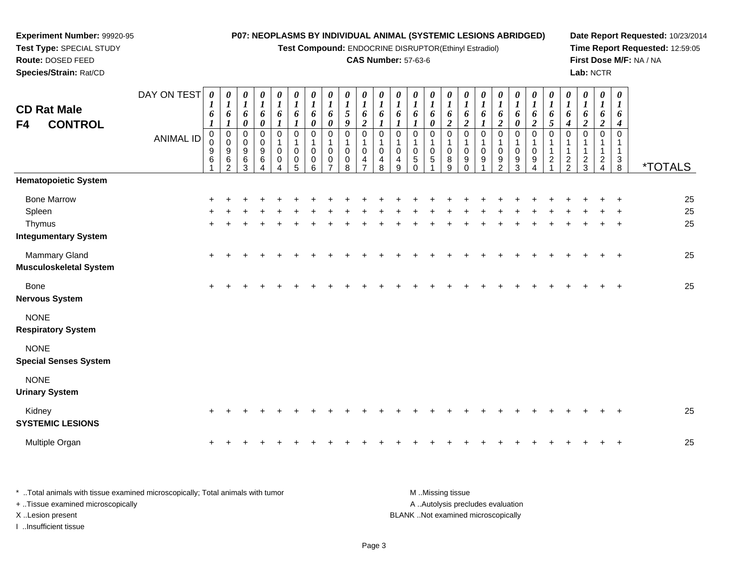| Experiment Number: 99920-95<br>Test Type: SPECIAL STUDY<br>Route: DOSED FEED |                  |                                                   |                                                                                     |                                                        |                                              |                                                                    |                                                |                                                           | P07: NEOPLASMS BY INDIVIDUAL ANIMAL (SYSTEMIC LESIONS ABRIDGED)<br>Test Compound: ENDOCRINE DISRUPTOR(Ethinyl Estradiol) |                                                         | <b>CAS Number: 57-63-6</b>                                       |                                                                    |                                                   |                                                         |                                                     |                                                      |                                                      |                                 |                                              |                                                  |                                              |                                                                 |                                                |                                                |                                                       |                                      | Date Report Requested: 10/23/2014<br>Time Report Requested: 12:59:05<br>First Dose M/F: NA / NA |
|------------------------------------------------------------------------------|------------------|---------------------------------------------------|-------------------------------------------------------------------------------------|--------------------------------------------------------|----------------------------------------------|--------------------------------------------------------------------|------------------------------------------------|-----------------------------------------------------------|--------------------------------------------------------------------------------------------------------------------------|---------------------------------------------------------|------------------------------------------------------------------|--------------------------------------------------------------------|---------------------------------------------------|---------------------------------------------------------|-----------------------------------------------------|------------------------------------------------------|------------------------------------------------------|---------------------------------|----------------------------------------------|--------------------------------------------------|----------------------------------------------|-----------------------------------------------------------------|------------------------------------------------|------------------------------------------------|-------------------------------------------------------|--------------------------------------|-------------------------------------------------------------------------------------------------|
| Species/Strain: Rat/CD                                                       |                  |                                                   |                                                                                     |                                                        |                                              |                                                                    |                                                |                                                           |                                                                                                                          |                                                         |                                                                  |                                                                    |                                                   |                                                         |                                                     |                                                      |                                                      |                                 |                                              |                                                  |                                              |                                                                 |                                                | Lab: NCTR                                      |                                                       |                                      |                                                                                                 |
| <b>CD Rat Male</b><br><b>CONTROL</b><br>F4                                   | DAY ON TEST      | 0<br>6<br>$\boldsymbol{l}$                        | 0<br>$\boldsymbol{l}$<br>6<br>1                                                     | 0<br>$\boldsymbol{l}$<br>6<br>$\boldsymbol{\theta}$    | 0<br>$\boldsymbol{l}$<br>6<br>$\pmb{\theta}$ | $\boldsymbol{\theta}$<br>$\boldsymbol{l}$<br>6<br>$\boldsymbol{l}$ | 0<br>$\boldsymbol{l}$<br>6<br>$\boldsymbol{l}$ | $\pmb{\theta}$<br>$\boldsymbol{l}$<br>6<br>$\pmb{\theta}$ | 0<br>$\boldsymbol{l}$<br>6<br>$\boldsymbol{\theta}$                                                                      | 0<br>$\boldsymbol{l}$<br>$\sqrt{5}$<br>$\boldsymbol{9}$ | 0<br>$\boldsymbol{l}$<br>6<br>$\boldsymbol{2}$                   | $\boldsymbol{\theta}$<br>$\boldsymbol{l}$<br>6<br>$\boldsymbol{l}$ | 0<br>$\boldsymbol{l}$<br>6<br>$\boldsymbol{l}$    | 0<br>$\boldsymbol{l}$<br>6<br>$\boldsymbol{I}$          | 0<br>$\boldsymbol{l}$<br>6<br>$\boldsymbol{\theta}$ | 0<br>$\boldsymbol{l}$<br>6<br>$\overline{2}$         | 0<br>$\boldsymbol{l}$<br>6<br>$\boldsymbol{2}$       | 0<br>$\boldsymbol{l}$<br>6<br>1 | 0<br>$\boldsymbol{l}$<br>6<br>$\overline{2}$ | 0<br>$\boldsymbol{l}$<br>6<br>$\pmb{\theta}$     | 0<br>$\boldsymbol{l}$<br>6<br>$\overline{2}$ | 0<br>$\boldsymbol{l}$<br>6<br>5                                 | 0<br>$\boldsymbol{l}$<br>6<br>$\boldsymbol{4}$ | 0<br>$\boldsymbol{l}$<br>6<br>$\boldsymbol{2}$ | 0<br>$\boldsymbol{l}$<br>6<br>$\overline{\mathbf{c}}$ | 0<br>1<br>6<br>4                     |                                                                                                 |
|                                                                              | <b>ANIMAL ID</b> | $\mathbf 0$<br>$\pmb{0}$<br>$\boldsymbol{9}$<br>6 | $\mathbf 0$<br>$\mathsf{O}\xspace$<br>$\boldsymbol{9}$<br>$\,6\,$<br>$\overline{2}$ | $\mathbf 0$<br>$\pmb{0}$<br>$\boldsymbol{9}$<br>6<br>3 | $\Omega$<br>$\mathbf 0$<br>9<br>6            | $\Omega$<br>$\overline{1}$<br>$\mathbf 0$<br>0                     | $\Omega$<br>1<br>$\Omega$<br>0<br>5            | $\mathbf 0$<br>$\Omega$<br>0<br>6                         | $\mathbf 0$<br>$\mathbf 0$<br>$\mathbf 0$<br>$\overline{7}$                                                              | $\mathbf 0$<br>$\mathbf{1}$<br>$\mathbf 0$<br>0<br>8    | $\mathbf 0$<br>$\mathbf 1$<br>$\mathbf 0$<br>4<br>$\overline{7}$ | $\mathbf 0$<br>$\mathbf 1$<br>$\mathbf 0$<br>4<br>8                | $\mathbf 0$<br>$\mathbf{1}$<br>$\Omega$<br>4<br>9 | $\mathbf 0$<br>1<br>$\pmb{0}$<br>$\sqrt{5}$<br>$\Omega$ | 0<br>$\mathbf 1$<br>$\mathbf 0$<br>$\sqrt{5}$       | $\mathbf 0$<br>$\mathbf{1}$<br>$\mathbf 0$<br>8<br>9 | $\Omega$<br>$\mathbf 1$<br>$\Omega$<br>9<br>$\Omega$ | $\Omega$<br>$\Omega$<br>9       | $\Omega$<br>$\Omega$<br>9<br>2               | $\Omega$<br>$\mathbf 0$<br>$\boldsymbol{9}$<br>3 | $\Omega$<br>$\mathbf 0$<br>9<br>4            | $\mathbf 0$<br>$\mathbf{1}$<br>$\mathbf{1}$<br>$\boldsymbol{2}$ | $\Omega$<br>$\overline{c}$<br>$\overline{2}$   | $\Omega$<br>$\frac{2}{3}$                      | $\mathbf 0$<br>1<br>$\mathbf{1}$<br>$\frac{2}{4}$     | $\mathbf 0$<br>$\mathbf 1$<br>3<br>8 | <i><b>*TOTALS</b></i>                                                                           |
| <b>Hematopoietic System</b>                                                  |                  |                                                   |                                                                                     |                                                        |                                              |                                                                    |                                                |                                                           |                                                                                                                          |                                                         |                                                                  |                                                                    |                                                   |                                                         |                                                     |                                                      |                                                      |                                 |                                              |                                                  |                                              |                                                                 |                                                |                                                |                                                       |                                      |                                                                                                 |
| <b>Bone Marrow</b><br>Spleen<br>Thymus                                       |                  |                                                   |                                                                                     |                                                        |                                              |                                                                    |                                                |                                                           |                                                                                                                          |                                                         |                                                                  |                                                                    |                                                   |                                                         |                                                     |                                                      |                                                      |                                 |                                              |                                                  |                                              |                                                                 |                                                |                                                |                                                       |                                      | 25<br>25                                                                                        |
| <b>Integumentary System</b>                                                  |                  |                                                   |                                                                                     |                                                        |                                              |                                                                    |                                                |                                                           |                                                                                                                          |                                                         |                                                                  |                                                                    |                                                   |                                                         |                                                     |                                                      |                                                      |                                 |                                              |                                                  |                                              |                                                                 |                                                |                                                |                                                       |                                      | 25                                                                                              |
| <b>Mammary Gland</b><br><b>Musculoskeletal System</b>                        |                  |                                                   |                                                                                     |                                                        |                                              |                                                                    |                                                |                                                           |                                                                                                                          |                                                         |                                                                  |                                                                    |                                                   |                                                         |                                                     |                                                      |                                                      |                                 |                                              |                                                  |                                              |                                                                 |                                                |                                                |                                                       |                                      | 25                                                                                              |
| <b>Bone</b><br><b>Nervous System</b>                                         |                  |                                                   |                                                                                     |                                                        |                                              |                                                                    |                                                |                                                           |                                                                                                                          |                                                         |                                                                  |                                                                    |                                                   |                                                         |                                                     |                                                      |                                                      |                                 |                                              |                                                  |                                              |                                                                 |                                                |                                                |                                                       |                                      | 25                                                                                              |
| <b>NONE</b><br><b>Respiratory System</b>                                     |                  |                                                   |                                                                                     |                                                        |                                              |                                                                    |                                                |                                                           |                                                                                                                          |                                                         |                                                                  |                                                                    |                                                   |                                                         |                                                     |                                                      |                                                      |                                 |                                              |                                                  |                                              |                                                                 |                                                |                                                |                                                       |                                      |                                                                                                 |
| <b>NONE</b><br><b>Special Senses System</b>                                  |                  |                                                   |                                                                                     |                                                        |                                              |                                                                    |                                                |                                                           |                                                                                                                          |                                                         |                                                                  |                                                                    |                                                   |                                                         |                                                     |                                                      |                                                      |                                 |                                              |                                                  |                                              |                                                                 |                                                |                                                |                                                       |                                      |                                                                                                 |
| <b>NONE</b><br><b>Urinary System</b>                                         |                  |                                                   |                                                                                     |                                                        |                                              |                                                                    |                                                |                                                           |                                                                                                                          |                                                         |                                                                  |                                                                    |                                                   |                                                         |                                                     |                                                      |                                                      |                                 |                                              |                                                  |                                              |                                                                 |                                                |                                                |                                                       |                                      |                                                                                                 |
| Kidney<br><b>SYSTEMIC LESIONS</b>                                            |                  |                                                   |                                                                                     |                                                        |                                              |                                                                    |                                                |                                                           |                                                                                                                          |                                                         |                                                                  |                                                                    |                                                   |                                                         |                                                     |                                                      |                                                      |                                 |                                              |                                                  |                                              |                                                                 |                                                |                                                |                                                       |                                      | 25                                                                                              |
| Multiple Organ                                                               |                  |                                                   |                                                                                     |                                                        |                                              |                                                                    |                                                |                                                           |                                                                                                                          |                                                         |                                                                  |                                                                    |                                                   |                                                         |                                                     |                                                      |                                                      |                                 |                                              |                                                  |                                              |                                                                 |                                                |                                                |                                                       |                                      | 25                                                                                              |

| * Total animals with tissue examined microscopically: Total animals with tumor | M Missing tissue                   |
|--------------------------------------------------------------------------------|------------------------------------|
| + Tissue examined microscopically                                              | A Autolysis precludes evaluation   |
| X Lesion present                                                               | BLANK Not examined microscopically |
| …Insufficient tissue                                                           |                                    |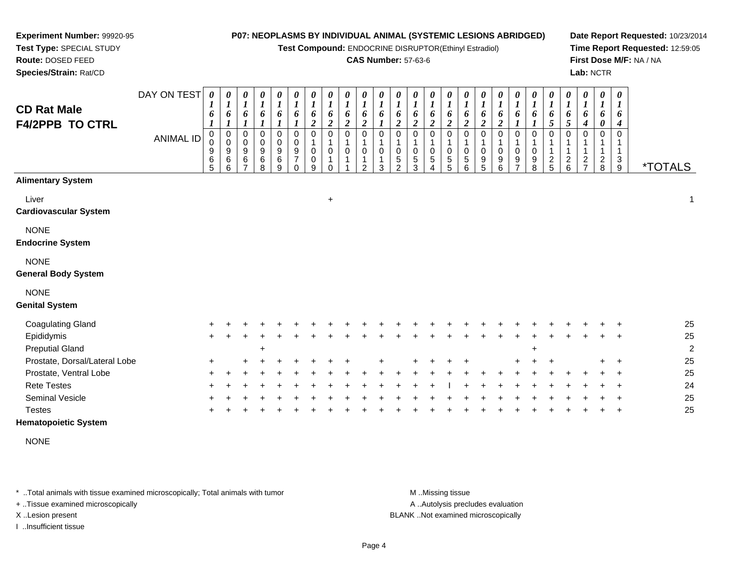**Test Compound:** ENDOCRINE DISRUPTOR(Ethinyl Estradiol)

#### **CAS Number:** 57-63-6

**Date Report Requested:** 10/23/2014**Time Report Requested:** 12:59:05**First Dose M/F:** NA / NA**Lab:** NCTR

| <b>CD Rat Male</b><br><b>F4/2PPB TO CTRL</b> | DAY ON TEST<br><b>ANIMAL ID</b> | 0<br>6<br>0<br>0<br>9<br>6<br>$\overline{5}$ | 0<br>$\boldsymbol{l}$<br>6<br>1<br>0<br>0<br>9<br>6<br>6 | 0<br>6<br>0<br>$\pmb{0}$<br>9<br>6 | 0<br>6<br>0<br>$\mathbf 0$<br>9<br>$\,6\,$<br>8 | $\boldsymbol{\theta}$<br>$\boldsymbol{l}$<br>6<br>1<br>0<br>$\pmb{0}$<br>9<br>$\,6\,$<br>9 | 0<br>$\boldsymbol{l}$<br>6<br>$\mathbf 0$<br>$\mathbf 0$<br>9<br>$\overline{7}$<br>$\Omega$ | 0<br>$\boldsymbol{l}$<br>6<br>$\overline{2}$<br>0<br>$\mathbf{1}$<br>0<br>0<br>9 | 0<br>$\boldsymbol{l}$<br>6<br>$\overline{2}$<br>$\mathbf 0$<br>1<br>$\mathbf 0$<br>O | 0<br>$\boldsymbol{l}$<br>6<br>$\boldsymbol{2}$<br>0<br>0 | $\boldsymbol{l}$<br>6<br>$\boldsymbol{2}$<br>$\Omega$ | $\boldsymbol{\theta}$<br>6<br>0<br>0<br>3 | $\boldsymbol{\theta}$<br>6<br>$\boldsymbol{2}$<br>0<br>0<br>5<br>$\mathfrak{p}$ | 0<br>6<br>$\overline{c}$<br>0<br>0<br>$\sqrt{5}$<br>3 | 0<br>$\boldsymbol{l}$<br>6<br>$\overline{2}$<br>0<br>0<br>$\sqrt{5}$ | 0<br>6<br>2<br>$\Omega$<br>$\mathbf 0$<br>5<br>5 | 0<br>6<br>2<br>0<br>0<br>5<br>6 | $\boldsymbol{\theta}$<br>6<br>$\overline{2}$<br>0<br>0<br>9<br>5 | 0<br>6<br>$\boldsymbol{2}$<br>0<br>0<br>9<br>6 | $\boldsymbol{\theta}$<br>6<br>0<br>0<br>9 | 0<br>6<br>0<br>0<br>$\boldsymbol{9}$<br>8 | 0<br>6<br>5<br>$\Omega$<br>$\overline{c}$<br>5 | 0<br>$\boldsymbol{l}$<br>6<br>5<br>$\Omega$<br>$\frac{2}{6}$ | $\boldsymbol{\theta}$<br>$\boldsymbol{l}$<br>6<br>4<br>$\Omega$<br>1<br>$\mathbf 1$<br>$\overline{c}$<br>$\overline{7}$ | 0<br>$\boldsymbol{l}$<br>6<br>0<br>$\mathbf 0$<br>$\mathbf 1$<br>$_{\rm 8}^2$ | $\boldsymbol{\theta}$<br>1<br>6<br>4<br>0<br>1<br>1<br>3<br>9 | <i><b>*TOTALS</b></i> |
|----------------------------------------------|---------------------------------|----------------------------------------------|----------------------------------------------------------|------------------------------------|-------------------------------------------------|--------------------------------------------------------------------------------------------|---------------------------------------------------------------------------------------------|----------------------------------------------------------------------------------|--------------------------------------------------------------------------------------|----------------------------------------------------------|-------------------------------------------------------|-------------------------------------------|---------------------------------------------------------------------------------|-------------------------------------------------------|----------------------------------------------------------------------|--------------------------------------------------|---------------------------------|------------------------------------------------------------------|------------------------------------------------|-------------------------------------------|-------------------------------------------|------------------------------------------------|--------------------------------------------------------------|-------------------------------------------------------------------------------------------------------------------------|-------------------------------------------------------------------------------|---------------------------------------------------------------|-----------------------|
| <b>Alimentary System</b>                     |                                 |                                              |                                                          |                                    |                                                 |                                                                                            |                                                                                             |                                                                                  |                                                                                      |                                                          |                                                       |                                           |                                                                                 |                                                       |                                                                      |                                                  |                                 |                                                                  |                                                |                                           |                                           |                                                |                                                              |                                                                                                                         |                                                                               |                                                               |                       |
| Liver<br><b>Cardiovascular System</b>        |                                 |                                              |                                                          |                                    |                                                 |                                                                                            |                                                                                             |                                                                                  | $\ddot{}$                                                                            |                                                          |                                                       |                                           |                                                                                 |                                                       |                                                                      |                                                  |                                 |                                                                  |                                                |                                           |                                           |                                                |                                                              |                                                                                                                         |                                                                               |                                                               | 1                     |
| <b>NONE</b><br><b>Endocrine System</b>       |                                 |                                              |                                                          |                                    |                                                 |                                                                                            |                                                                                             |                                                                                  |                                                                                      |                                                          |                                                       |                                           |                                                                                 |                                                       |                                                                      |                                                  |                                 |                                                                  |                                                |                                           |                                           |                                                |                                                              |                                                                                                                         |                                                                               |                                                               |                       |
| <b>NONE</b><br><b>General Body System</b>    |                                 |                                              |                                                          |                                    |                                                 |                                                                                            |                                                                                             |                                                                                  |                                                                                      |                                                          |                                                       |                                           |                                                                                 |                                                       |                                                                      |                                                  |                                 |                                                                  |                                                |                                           |                                           |                                                |                                                              |                                                                                                                         |                                                                               |                                                               |                       |
| <b>NONE</b><br><b>Genital System</b>         |                                 |                                              |                                                          |                                    |                                                 |                                                                                            |                                                                                             |                                                                                  |                                                                                      |                                                          |                                                       |                                           |                                                                                 |                                                       |                                                                      |                                                  |                                 |                                                                  |                                                |                                           |                                           |                                                |                                                              |                                                                                                                         |                                                                               |                                                               |                       |
| <b>Coagulating Gland</b>                     |                                 |                                              |                                                          |                                    |                                                 |                                                                                            |                                                                                             |                                                                                  |                                                                                      |                                                          |                                                       |                                           |                                                                                 |                                                       |                                                                      |                                                  |                                 |                                                                  |                                                |                                           |                                           |                                                |                                                              |                                                                                                                         |                                                                               |                                                               | 25                    |
| Epididymis                                   |                                 | $\ddot{}$                                    |                                                          |                                    |                                                 |                                                                                            |                                                                                             |                                                                                  |                                                                                      |                                                          |                                                       |                                           |                                                                                 |                                                       |                                                                      |                                                  |                                 |                                                                  |                                                |                                           |                                           |                                                |                                                              |                                                                                                                         |                                                                               |                                                               | 25                    |
| <b>Preputial Gland</b>                       |                                 |                                              |                                                          |                                    | $\ddot{}$                                       |                                                                                            |                                                                                             |                                                                                  |                                                                                      |                                                          |                                                       |                                           |                                                                                 |                                                       |                                                                      |                                                  |                                 |                                                                  |                                                |                                           | $\ddot{}$                                 |                                                |                                                              |                                                                                                                         |                                                                               |                                                               | 2                     |
| Prostate, Dorsal/Lateral Lobe                |                                 | +                                            |                                                          |                                    |                                                 |                                                                                            |                                                                                             |                                                                                  |                                                                                      |                                                          |                                                       |                                           |                                                                                 |                                                       |                                                                      |                                                  |                                 |                                                                  |                                                |                                           |                                           |                                                |                                                              |                                                                                                                         |                                                                               |                                                               | 25                    |
| Prostate, Ventral Lobe                       |                                 |                                              |                                                          |                                    |                                                 |                                                                                            |                                                                                             |                                                                                  |                                                                                      |                                                          |                                                       |                                           |                                                                                 |                                                       |                                                                      |                                                  |                                 |                                                                  |                                                |                                           |                                           |                                                |                                                              |                                                                                                                         |                                                                               |                                                               | 25                    |
| <b>Rete Testes</b>                           |                                 |                                              |                                                          |                                    |                                                 |                                                                                            |                                                                                             |                                                                                  |                                                                                      |                                                          |                                                       |                                           |                                                                                 |                                                       |                                                                      |                                                  |                                 |                                                                  |                                                |                                           |                                           |                                                |                                                              |                                                                                                                         |                                                                               |                                                               | 24                    |
| Seminal Vesicle                              |                                 |                                              |                                                          |                                    |                                                 |                                                                                            |                                                                                             |                                                                                  |                                                                                      |                                                          |                                                       |                                           |                                                                                 |                                                       |                                                                      |                                                  |                                 |                                                                  |                                                |                                           |                                           |                                                |                                                              |                                                                                                                         |                                                                               |                                                               | 25                    |
| <b>Testes</b>                                |                                 |                                              |                                                          |                                    |                                                 |                                                                                            |                                                                                             |                                                                                  |                                                                                      |                                                          |                                                       |                                           |                                                                                 |                                                       |                                                                      |                                                  |                                 |                                                                  |                                                |                                           |                                           |                                                |                                                              |                                                                                                                         |                                                                               |                                                               | 25                    |
| <b>Hematopoietic System</b>                  |                                 |                                              |                                                          |                                    |                                                 |                                                                                            |                                                                                             |                                                                                  |                                                                                      |                                                          |                                                       |                                           |                                                                                 |                                                       |                                                                      |                                                  |                                 |                                                                  |                                                |                                           |                                           |                                                |                                                              |                                                                                                                         |                                                                               |                                                               |                       |

NONE

\* ..Total animals with tissue examined microscopically; Total animals with tumor **M** . Missing tissue M ..Missing tissue

+ ..Tissue examined microscopically

**Experiment Number:** 99920-95**Test Type:** SPECIAL STUDY**Route:** DOSED FEED**Species/Strain:** Rat/CD

I ..Insufficient tissue

A ..Autolysis precludes evaluation

X ..Lesion present BLANK ..Not examined microscopically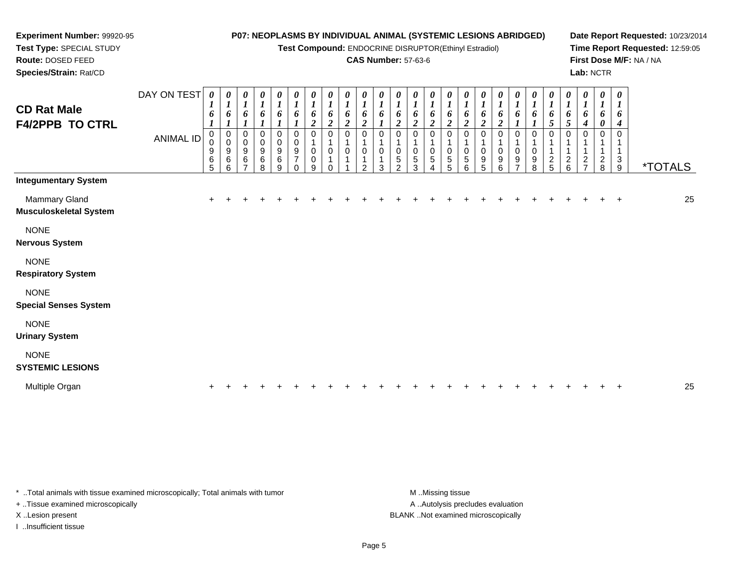**Test Compound:** ENDOCRINE DISRUPTOR(Ethinyl Estradiol)

#### **CAS Number:** 57-63-6

**Date Report Requested:** 10/23/2014**Time Report Requested:** 12:59:05**First Dose M/F:** NA / NA**Lab:** NCTR

| <b>CD Rat Male</b><br><b>F4/2PPB TO CTRL</b>        | DAY ON TEST<br><b>ANIMAL ID</b> | $\boldsymbol{\theta}$<br>6<br>$\boldsymbol{l}$<br>$\mathbf 0$<br>9<br>6<br>5 | 0<br>6<br>$\pmb{0}$<br>$\,0\,$<br>9<br>6<br>6 | 0<br>1<br>6<br>0<br>0<br>9<br>6<br>$\overline{ }$ | 0<br>$\boldsymbol{l}$<br>6<br>$\boldsymbol{l}$<br>$\pmb{0}$<br>$\pmb{0}$<br>9<br>$\,6\,$<br>8 | 0<br>$\boldsymbol{l}$<br>6<br>1<br>0<br>$\mathbf 0$<br>9<br>6<br>9 | 0<br>$\boldsymbol{l}$<br>6<br>0<br>0<br>9<br>7<br>$\Omega$ | 0<br>$\boldsymbol{l}$<br>6<br>$\boldsymbol{2}$<br>0<br>0<br>0<br>9 | 0<br>$\boldsymbol{l}$<br>6<br>$\boldsymbol{2}$<br>$\Omega$<br>0<br>$\Omega$ | 0<br>$\boldsymbol{l}$<br>$\boldsymbol{2}$ | 0<br>$\boldsymbol{l}$<br>6<br>$\boldsymbol{2}$<br>$\Omega$<br>0<br>$\mathcal{P}$ | 0<br>$\boldsymbol{l}$<br>6<br>0<br>0<br>3 | 0<br>$\boldsymbol{l}$<br>6<br>$\boldsymbol{2}$<br>0<br>0<br>$\,$ 5 $\,$<br>$\overline{2}$ | 0<br>$\boldsymbol{l}$<br>6<br>$\boldsymbol{2}$<br>$\Omega$<br>0<br>5<br>3 | 0<br>$\boldsymbol{l}$<br>6<br>$\boldsymbol{2}$<br>0<br>0<br>$\sqrt{5}$<br>4 | 0<br>$\boldsymbol{l}$<br>6<br>$\boldsymbol{2}$<br>0<br>0<br>5<br>5 | 0<br>$\boldsymbol{l}$<br>6<br>$\boldsymbol{2}$<br>$\Omega$<br>0<br>5<br>6 | 0<br>$\boldsymbol{l}$<br>6<br>$\boldsymbol{2}$<br>9<br>5 | 0<br>6<br>$\boldsymbol{2}$<br>0<br>0<br>9<br>6 | 0<br>$\boldsymbol{l}$<br>6<br>0<br>0<br>9<br>$\overline{ }$ | 0<br>$\boldsymbol{l}$<br>6<br>$\boldsymbol{l}$<br>0<br>0<br>9<br>8 | 0<br>$\boldsymbol{l}$<br>6<br>5<br>$\Omega$<br>1<br>$\frac{2}{5}$ | 0<br>$\boldsymbol{l}$<br>6<br>5<br>$\Omega$<br>$\frac{2}{6}$ | 0<br>$\boldsymbol{I}$<br>6<br>4<br>0<br>2<br>$\overline{ }$ | 0<br>$\boldsymbol{l}$<br>6<br>0<br>0<br>$\frac{2}{8}$ | $\boldsymbol{\theta}$<br>$\boldsymbol{l}$<br>6<br>4<br>3<br>9 | <i><b>*TOTALS</b></i> |    |
|-----------------------------------------------------|---------------------------------|------------------------------------------------------------------------------|-----------------------------------------------|---------------------------------------------------|-----------------------------------------------------------------------------------------------|--------------------------------------------------------------------|------------------------------------------------------------|--------------------------------------------------------------------|-----------------------------------------------------------------------------|-------------------------------------------|----------------------------------------------------------------------------------|-------------------------------------------|-------------------------------------------------------------------------------------------|---------------------------------------------------------------------------|-----------------------------------------------------------------------------|--------------------------------------------------------------------|---------------------------------------------------------------------------|----------------------------------------------------------|------------------------------------------------|-------------------------------------------------------------|--------------------------------------------------------------------|-------------------------------------------------------------------|--------------------------------------------------------------|-------------------------------------------------------------|-------------------------------------------------------|---------------------------------------------------------------|-----------------------|----|
| <b>Integumentary System</b><br><b>Mammary Gland</b> |                                 | $+$                                                                          |                                               |                                                   |                                                                                               |                                                                    |                                                            |                                                                    |                                                                             |                                           |                                                                                  |                                           |                                                                                           |                                                                           |                                                                             |                                                                    |                                                                           |                                                          |                                                |                                                             |                                                                    |                                                                   |                                                              |                                                             |                                                       | $\ddot{}$                                                     |                       | 25 |
| Musculoskeletal System                              |                                 |                                                                              |                                               |                                                   |                                                                                               |                                                                    |                                                            |                                                                    |                                                                             |                                           |                                                                                  |                                           |                                                                                           |                                                                           |                                                                             |                                                                    |                                                                           |                                                          |                                                |                                                             |                                                                    |                                                                   |                                                              |                                                             |                                                       |                                                               |                       |    |
| <b>NONE</b><br><b>Nervous System</b>                |                                 |                                                                              |                                               |                                                   |                                                                                               |                                                                    |                                                            |                                                                    |                                                                             |                                           |                                                                                  |                                           |                                                                                           |                                                                           |                                                                             |                                                                    |                                                                           |                                                          |                                                |                                                             |                                                                    |                                                                   |                                                              |                                                             |                                                       |                                                               |                       |    |
| <b>NONE</b><br><b>Respiratory System</b>            |                                 |                                                                              |                                               |                                                   |                                                                                               |                                                                    |                                                            |                                                                    |                                                                             |                                           |                                                                                  |                                           |                                                                                           |                                                                           |                                                                             |                                                                    |                                                                           |                                                          |                                                |                                                             |                                                                    |                                                                   |                                                              |                                                             |                                                       |                                                               |                       |    |
| <b>NONE</b><br><b>Special Senses System</b>         |                                 |                                                                              |                                               |                                                   |                                                                                               |                                                                    |                                                            |                                                                    |                                                                             |                                           |                                                                                  |                                           |                                                                                           |                                                                           |                                                                             |                                                                    |                                                                           |                                                          |                                                |                                                             |                                                                    |                                                                   |                                                              |                                                             |                                                       |                                                               |                       |    |
| <b>NONE</b><br><b>Urinary System</b>                |                                 |                                                                              |                                               |                                                   |                                                                                               |                                                                    |                                                            |                                                                    |                                                                             |                                           |                                                                                  |                                           |                                                                                           |                                                                           |                                                                             |                                                                    |                                                                           |                                                          |                                                |                                                             |                                                                    |                                                                   |                                                              |                                                             |                                                       |                                                               |                       |    |
| <b>NONE</b><br><b>SYSTEMIC LESIONS</b>              |                                 |                                                                              |                                               |                                                   |                                                                                               |                                                                    |                                                            |                                                                    |                                                                             |                                           |                                                                                  |                                           |                                                                                           |                                                                           |                                                                             |                                                                    |                                                                           |                                                          |                                                |                                                             |                                                                    |                                                                   |                                                              |                                                             |                                                       |                                                               |                       |    |
| Multiple Organ                                      |                                 | +                                                                            |                                               |                                                   |                                                                                               |                                                                    |                                                            |                                                                    |                                                                             |                                           |                                                                                  |                                           |                                                                                           |                                                                           |                                                                             |                                                                    |                                                                           |                                                          |                                                |                                                             |                                                                    |                                                                   |                                                              |                                                             |                                                       |                                                               |                       | 25 |

\* ..Total animals with tissue examined microscopically; Total animals with tumor

+ ..Tissue examined microscopically

**Experiment Number:** 99920-95**Test Type:** SPECIAL STUDY**Route:** DOSED FEED**Species/Strain:** Rat/CD

I ..Insufficient tissue

A .. Autolysis precludes evaluation X ..Lesion present BLANK ..Not examined microscopically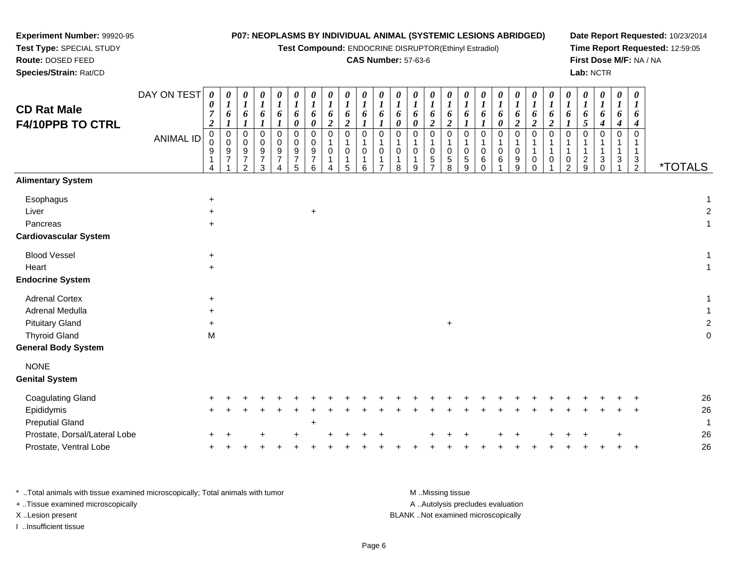| Test Type: SPECIAL STUDY<br>Route: DOSED FEED<br>Species/Strain: Rat/CD                                                  | Test Compound: ENDOCRINE DISRUPTOR(Ethinyl Estradiol)<br><b>CAS Number: 57-63-6</b> |                                                                                    |                                                                        |                                                                     |                                                |                                                             |                                                  |                                                     |                                      |                                              |                                                |                                                                    |                                                                  |                                              |                                                       |                                                             |                                                  | Lab: NCTR                                      |                                        |                                                       | Time Report Requested: 12:59:05<br>First Dose M/F: NA / NA |                                        |                                                        |                          |                                 |                                 |                                                   |                       |
|--------------------------------------------------------------------------------------------------------------------------|-------------------------------------------------------------------------------------|------------------------------------------------------------------------------------|------------------------------------------------------------------------|---------------------------------------------------------------------|------------------------------------------------|-------------------------------------------------------------|--------------------------------------------------|-----------------------------------------------------|--------------------------------------|----------------------------------------------|------------------------------------------------|--------------------------------------------------------------------|------------------------------------------------------------------|----------------------------------------------|-------------------------------------------------------|-------------------------------------------------------------|--------------------------------------------------|------------------------------------------------|----------------------------------------|-------------------------------------------------------|------------------------------------------------------------|----------------------------------------|--------------------------------------------------------|--------------------------|---------------------------------|---------------------------------|---------------------------------------------------|-----------------------|
| <b>CD Rat Male</b><br>F4/10PPB TO CTRL                                                                                   | DAY ON TEST                                                                         | $\boldsymbol{\theta}$<br>$\boldsymbol{\theta}$<br>$\overline{7}$<br>$\overline{c}$ | 0<br>$\boldsymbol{l}$<br>6<br>1                                        | 0<br>$\boldsymbol{l}$<br>$\pmb{6}$<br>$\boldsymbol{l}$              | 0<br>$\boldsymbol{l}$<br>6<br>$\boldsymbol{l}$ | 0<br>$\boldsymbol{l}$<br>6<br>$\boldsymbol{l}$              | 0<br>$\boldsymbol{l}$<br>6<br>$\pmb{\theta}$     | 0<br>$\boldsymbol{l}$<br>6<br>$\boldsymbol{\theta}$ | $\theta$<br>1<br>6<br>$\overline{2}$ | 0<br>$\boldsymbol{l}$<br>6<br>$\overline{2}$ | 0<br>$\boldsymbol{l}$<br>6<br>$\boldsymbol{l}$ | $\boldsymbol{\theta}$<br>$\boldsymbol{l}$<br>6<br>$\boldsymbol{l}$ | $\boldsymbol{\theta}$<br>$\boldsymbol{l}$<br>6<br>$\pmb{\theta}$ | 0<br>$\boldsymbol{l}$<br>6<br>$\pmb{\theta}$ | 0<br>$\boldsymbol{l}$<br>6<br>$\overline{\mathbf{c}}$ | 0<br>$\boldsymbol{l}$<br>6<br>$\boldsymbol{2}$              | 0<br>$\boldsymbol{l}$<br>6<br>1                  | 0<br>$\boldsymbol{l}$<br>6<br>$\boldsymbol{l}$ | $\theta$<br>$\boldsymbol{l}$<br>6<br>0 | 0<br>$\boldsymbol{l}$<br>6<br>$\overline{\mathbf{c}}$ | 0<br>$\boldsymbol{l}$<br>6<br>$\overline{c}$               | 0<br>$\bm{l}$<br>6<br>$\boldsymbol{2}$ | 0<br>$\boldsymbol{l}$<br>$\pmb{6}$<br>$\boldsymbol{l}$ | 1<br>6<br>5              | 0<br>1<br>6<br>4                | 0<br>$\boldsymbol{l}$<br>6<br>4 | 0<br>$\boldsymbol{I}$<br>6<br>4                   |                       |
|                                                                                                                          | <b>ANIMAL ID</b>                                                                    | 0<br>$\Omega$<br>9<br>1<br>Δ                                                       | $\pmb{0}$<br>$\mathsf{O}\xspace$<br>$\boldsymbol{9}$<br>$\overline{7}$ | $\mathbf 0$<br>$\mathbf 0$<br>9<br>$\overline{7}$<br>$\overline{2}$ | $\mathbf 0$<br>0<br>9<br>7<br>3                | $\mathbf 0$<br>0<br>$\boldsymbol{9}$<br>$\overline{7}$<br>4 | $\mathbf 0$<br>0<br>$9\,$<br>$\overline{7}$<br>5 | 0<br>$\mathbf 0$<br>$\boldsymbol{9}$<br>7<br>6      | $\Omega$<br>$\mathbf 0$<br>4         | $\Omega$<br>1<br>$\mathbf 0$<br>-1<br>5      | 0<br>0<br>1<br>6                               | 0<br>$\mathbf{1}$<br>0<br>1<br>$\overline{7}$                      | $\mathbf 0$<br>$\pmb{0}$<br>1<br>8                               | $\mathbf 0$<br>$\pmb{0}$<br>1<br>9           | $\mathsf 0$<br>$\mathbf{1}$<br>0<br>$\frac{5}{7}$     | $\mathbf 0$<br>$\mathbf 1$<br>$\pmb{0}$<br>$\mathbf 5$<br>8 | $\Omega$<br>1<br>$\mathbf 0$<br>$\mathbf 5$<br>9 | $\Omega$<br>$\mathbf 0$<br>6<br>$\mathbf 0$    | $\Omega$<br>$\mathbf 0$<br>6           | $\mathbf 0$<br>1<br>$\pmb{0}$<br>$^9_9$               | $\Omega$<br>$\overline{1}$<br>0<br>$\Omega$                | $\mathbf 0$<br>0                       | 0<br>1<br>1<br>0<br>$\overline{2}$                     | 1<br>$\overline{c}$<br>9 | $\mathbf 0$<br>3<br>$\mathbf 0$ | $\mathbf 0$<br>-1<br>$\sqrt{3}$ | $\mathbf 0$<br>1<br>$\mathbf{1}$<br>$\frac{3}{2}$ | <i><b>*TOTALS</b></i> |
| <b>Alimentary System</b>                                                                                                 |                                                                                     |                                                                                    |                                                                        |                                                                     |                                                |                                                             |                                                  |                                                     |                                      |                                              |                                                |                                                                    |                                                                  |                                              |                                                       |                                                             |                                                  |                                                |                                        |                                                       |                                                            |                                        |                                                        |                          |                                 |                                 |                                                   |                       |
| Esophagus<br>Liver<br>Pancreas                                                                                           |                                                                                     | $\ddot{}$<br>$\ddot{}$<br>$\ddot{}$                                                |                                                                        |                                                                     |                                                |                                                             |                                                  | $\ddot{}$                                           |                                      |                                              |                                                |                                                                    |                                                                  |                                              |                                                       |                                                             |                                                  |                                                |                                        |                                                       |                                                            |                                        |                                                        |                          |                                 |                                 |                                                   |                       |
| <b>Cardiovascular System</b>                                                                                             |                                                                                     |                                                                                    |                                                                        |                                                                     |                                                |                                                             |                                                  |                                                     |                                      |                                              |                                                |                                                                    |                                                                  |                                              |                                                       |                                                             |                                                  |                                                |                                        |                                                       |                                                            |                                        |                                                        |                          |                                 |                                 |                                                   |                       |
| <b>Blood Vessel</b><br>Heart<br><b>Endocrine System</b>                                                                  |                                                                                     | $\ddot{}$<br>$\ddot{}$                                                             |                                                                        |                                                                     |                                                |                                                             |                                                  |                                                     |                                      |                                              |                                                |                                                                    |                                                                  |                                              |                                                       |                                                             |                                                  |                                                |                                        |                                                       |                                                            |                                        |                                                        |                          |                                 |                                 |                                                   | 1                     |
| <b>Adrenal Cortex</b><br>Adrenal Medulla<br><b>Pituitary Gland</b><br><b>Thyroid Gland</b><br><b>General Body System</b> |                                                                                     | $\ddot{}$<br>$\ddot{}$<br>$\ddot{}$<br>M                                           |                                                                        |                                                                     |                                                |                                                             |                                                  |                                                     |                                      |                                              |                                                |                                                                    |                                                                  |                                              |                                                       | $\ddot{}$                                                   |                                                  |                                                |                                        |                                                       |                                                            |                                        |                                                        |                          |                                 |                                 |                                                   |                       |
| <b>NONE</b>                                                                                                              |                                                                                     |                                                                                    |                                                                        |                                                                     |                                                |                                                             |                                                  |                                                     |                                      |                                              |                                                |                                                                    |                                                                  |                                              |                                                       |                                                             |                                                  |                                                |                                        |                                                       |                                                            |                                        |                                                        |                          |                                 |                                 |                                                   |                       |
| <b>Genital System</b>                                                                                                    |                                                                                     |                                                                                    |                                                                        |                                                                     |                                                |                                                             |                                                  |                                                     |                                      |                                              |                                                |                                                                    |                                                                  |                                              |                                                       |                                                             |                                                  |                                                |                                        |                                                       |                                                            |                                        |                                                        |                          |                                 |                                 |                                                   |                       |
| <b>Coagulating Gland</b><br>Epididymis<br><b>Preputial Gland</b><br>Prostate, Dorsal/Lateral Lobe                        |                                                                                     |                                                                                    |                                                                        |                                                                     |                                                |                                                             |                                                  |                                                     |                                      |                                              |                                                |                                                                    |                                                                  |                                              |                                                       |                                                             |                                                  |                                                |                                        |                                                       |                                                            |                                        |                                                        |                          |                                 |                                 |                                                   | 26<br>26<br>-1<br>26  |
| Prostate, Ventral Lobe                                                                                                   |                                                                                     |                                                                                    |                                                                        |                                                                     |                                                |                                                             |                                                  |                                                     |                                      |                                              |                                                |                                                                    |                                                                  |                                              |                                                       |                                                             |                                                  |                                                |                                        |                                                       |                                                            |                                        |                                                        |                          |                                 |                                 |                                                   | 26                    |

**Date Report Requested:** 10/23/2014

\* ..Total animals with tissue examined microscopically; Total animals with tumor **M** . Missing tissue M ..Missing tissue A ..Autolysis precludes evaluation + ..Tissue examined microscopically X ..Lesion present BLANK ..Not examined microscopicallyI ..Insufficient tissue

**Experiment Number:** 99920-95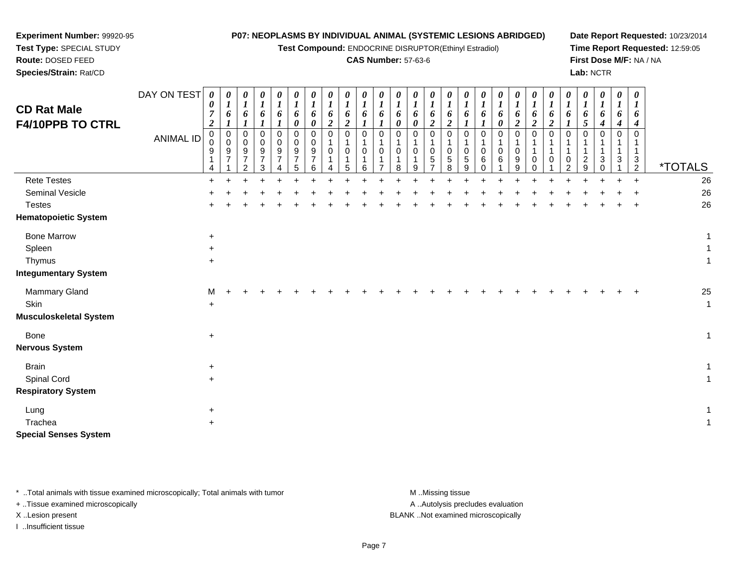| Test Type: SPECIAL STUDY<br>Route: DOSED FEED<br>Species/Strain: Rat/CD |                  |                                 |                                        |                                           |                                                               |                                                  |                                                  |                                           | <b>Test Compound: ENDOCRINE DISRUPTOR(Ethinyl Estradiol)</b> |                                                |                                                |                                         |                                 | <b>CAS Number: 57-63-6</b>      |                                                                |                                              |                                   |                                |                                 |                                              |                                 |                                        |                    | Lab: NCTR                       |                                 |                                 | First Dose M/F: NA / NA                       | Time Report Requested: 12:59:05 |
|-------------------------------------------------------------------------|------------------|---------------------------------|----------------------------------------|-------------------------------------------|---------------------------------------------------------------|--------------------------------------------------|--------------------------------------------------|-------------------------------------------|--------------------------------------------------------------|------------------------------------------------|------------------------------------------------|-----------------------------------------|---------------------------------|---------------------------------|----------------------------------------------------------------|----------------------------------------------|-----------------------------------|--------------------------------|---------------------------------|----------------------------------------------|---------------------------------|----------------------------------------|--------------------|---------------------------------|---------------------------------|---------------------------------|-----------------------------------------------|---------------------------------|
| <b>CD Rat Male</b><br>F4/10PPB TO CTRL                                  | DAY ON TEST      | 0<br>0<br>7<br>$\boldsymbol{2}$ | $\boldsymbol{\theta}$<br>$\bm{l}$<br>6 | 0<br>$\boldsymbol{l}$<br>6                | $\boldsymbol{\theta}$<br>$\boldsymbol{l}$<br>6                | 0<br>$\boldsymbol{I}$<br>6                       | 0<br>$\boldsymbol{l}$<br>6<br>0                  | 0<br>$\boldsymbol{l}$<br>6<br>0           | 0<br>$\boldsymbol{l}$<br>6<br>$\boldsymbol{2}$               | 0<br>$\boldsymbol{l}$<br>6<br>$\boldsymbol{2}$ | $\boldsymbol{\theta}$<br>$\boldsymbol{l}$<br>6 | 0<br>$\boldsymbol{l}$<br>6              | 0<br>$\boldsymbol{l}$<br>6<br>0 | 0<br>$\boldsymbol{l}$<br>6<br>0 | 0<br>$\boldsymbol{l}$<br>6<br>$\boldsymbol{2}$                 | 0<br>$\boldsymbol{l}$<br>6<br>$\overline{2}$ | 0<br>$\boldsymbol{l}$<br>6        | 0<br>$\boldsymbol{l}$<br>6     | 0<br>$\boldsymbol{l}$<br>6<br>0 | 0<br>$\boldsymbol{l}$<br>6<br>$\overline{c}$ | 0<br>1<br>6<br>$\boldsymbol{2}$ | 0<br>$\bm{l}$<br>6<br>$\boldsymbol{2}$ | 0<br>$\bm{l}$<br>6 | 0<br>$\boldsymbol{I}$<br>6<br>5 | 0<br>$\boldsymbol{I}$<br>6<br>4 | 0<br>$\boldsymbol{l}$<br>6<br>4 | 0<br>1<br>6<br>4                              |                                 |
|                                                                         | <b>ANIMAL ID</b> | 0<br>$\Omega$<br>9<br>4         | $\pmb{0}$<br>$\Omega$<br>9<br>7        | 0<br>$\Omega$<br>9<br>7<br>$\overline{2}$ | $\Omega$<br>$\Omega$<br>9<br>$\boldsymbol{7}$<br>$\mathbf{3}$ | $\Omega$<br>$\Omega$<br>9<br>$\overline{7}$<br>4 | $\Omega$<br>$\Omega$<br>9<br>$\overline{7}$<br>5 | 0<br>$\Omega$<br>9<br>$\overline{7}$<br>6 | $\pmb{0}$<br>$\mathbf 1$<br>0<br>1<br>4                      | 0<br>0<br>1<br>5                               | $\mathbf 0$<br>0<br>6                          | $\mathbf 0$<br>0<br>1<br>$\overline{7}$ | $\mathbf 0$<br>0<br>8           | 0<br>0<br>9                     | $\pmb{0}$<br>$\mathbf 1$<br>0<br>$\,$ 5 $\,$<br>$\overline{7}$ | $\mathbf 0$<br>0<br>5<br>8                   | $\mathbf 0$<br>0<br>$\frac{5}{9}$ | $\Omega$<br>0<br>6<br>$\Omega$ | $\mathbf 0$<br>0<br>6           | $\mathbf 0$<br>0<br>9<br>$\boldsymbol{9}$    | $\mathbf 0$<br>1<br>0<br>0      | $\Omega$<br>0                          | 0<br>0<br>2        | $\Omega$<br>$\overline{c}$<br>9 | $\mathbf 0$<br>3<br>$\Omega$    | $\mathbf 0$<br>3                | $\mathbf 0$<br>-1<br>1<br>3<br>$\overline{2}$ | <i><b>*TOTALS</b></i>           |
| <b>Rete Testes</b>                                                      |                  | $+$                             |                                        |                                           |                                                               |                                                  |                                                  |                                           |                                                              |                                                |                                                |                                         |                                 |                                 |                                                                |                                              |                                   |                                |                                 |                                              |                                 |                                        |                    |                                 |                                 |                                 |                                               | 26                              |
| Seminal Vesicle                                                         |                  |                                 |                                        |                                           |                                                               |                                                  |                                                  |                                           |                                                              |                                                |                                                |                                         |                                 |                                 |                                                                |                                              |                                   |                                |                                 |                                              |                                 |                                        |                    |                                 |                                 |                                 |                                               | 26                              |
| <b>Testes</b><br><b>Hematopoietic System</b>                            |                  |                                 |                                        |                                           |                                                               |                                                  |                                                  |                                           |                                                              |                                                |                                                |                                         |                                 |                                 |                                                                |                                              |                                   |                                |                                 |                                              |                                 |                                        |                    |                                 |                                 |                                 |                                               | 26                              |
| <b>Bone Marrow</b>                                                      |                  | $+$                             |                                        |                                           |                                                               |                                                  |                                                  |                                           |                                                              |                                                |                                                |                                         |                                 |                                 |                                                                |                                              |                                   |                                |                                 |                                              |                                 |                                        |                    |                                 |                                 |                                 |                                               |                                 |
| Spleen                                                                  |                  | $\ddot{}$                       |                                        |                                           |                                                               |                                                  |                                                  |                                           |                                                              |                                                |                                                |                                         |                                 |                                 |                                                                |                                              |                                   |                                |                                 |                                              |                                 |                                        |                    |                                 |                                 |                                 |                                               |                                 |
| Thymus                                                                  |                  | $+$                             |                                        |                                           |                                                               |                                                  |                                                  |                                           |                                                              |                                                |                                                |                                         |                                 |                                 |                                                                |                                              |                                   |                                |                                 |                                              |                                 |                                        |                    |                                 |                                 |                                 |                                               | 1                               |
| <b>Integumentary System</b>                                             |                  |                                 |                                        |                                           |                                                               |                                                  |                                                  |                                           |                                                              |                                                |                                                |                                         |                                 |                                 |                                                                |                                              |                                   |                                |                                 |                                              |                                 |                                        |                    |                                 |                                 |                                 |                                               |                                 |
| Mammary Gland                                                           |                  | м                               |                                        |                                           |                                                               |                                                  |                                                  |                                           |                                                              |                                                |                                                |                                         |                                 |                                 |                                                                |                                              |                                   |                                |                                 |                                              |                                 |                                        |                    |                                 |                                 |                                 |                                               | 25                              |
| Skin                                                                    |                  | $+$                             |                                        |                                           |                                                               |                                                  |                                                  |                                           |                                                              |                                                |                                                |                                         |                                 |                                 |                                                                |                                              |                                   |                                |                                 |                                              |                                 |                                        |                    |                                 |                                 |                                 |                                               | 1                               |
| <b>Musculoskeletal System</b>                                           |                  |                                 |                                        |                                           |                                                               |                                                  |                                                  |                                           |                                                              |                                                |                                                |                                         |                                 |                                 |                                                                |                                              |                                   |                                |                                 |                                              |                                 |                                        |                    |                                 |                                 |                                 |                                               |                                 |
| <b>Bone</b>                                                             |                  | $\ddot{}$                       |                                        |                                           |                                                               |                                                  |                                                  |                                           |                                                              |                                                |                                                |                                         |                                 |                                 |                                                                |                                              |                                   |                                |                                 |                                              |                                 |                                        |                    |                                 |                                 |                                 |                                               | 1                               |
| <b>Nervous System</b>                                                   |                  |                                 |                                        |                                           |                                                               |                                                  |                                                  |                                           |                                                              |                                                |                                                |                                         |                                 |                                 |                                                                |                                              |                                   |                                |                                 |                                              |                                 |                                        |                    |                                 |                                 |                                 |                                               |                                 |
| <b>Brain</b>                                                            |                  | $\ddot{}$                       |                                        |                                           |                                                               |                                                  |                                                  |                                           |                                                              |                                                |                                                |                                         |                                 |                                 |                                                                |                                              |                                   |                                |                                 |                                              |                                 |                                        |                    |                                 |                                 |                                 |                                               | 1                               |
| Spinal Cord                                                             |                  | $+$                             |                                        |                                           |                                                               |                                                  |                                                  |                                           |                                                              |                                                |                                                |                                         |                                 |                                 |                                                                |                                              |                                   |                                |                                 |                                              |                                 |                                        |                    |                                 |                                 |                                 |                                               |                                 |
| <b>Respiratory System</b>                                               |                  |                                 |                                        |                                           |                                                               |                                                  |                                                  |                                           |                                                              |                                                |                                                |                                         |                                 |                                 |                                                                |                                              |                                   |                                |                                 |                                              |                                 |                                        |                    |                                 |                                 |                                 |                                               |                                 |
| Lung                                                                    |                  | $\ddot{}$                       |                                        |                                           |                                                               |                                                  |                                                  |                                           |                                                              |                                                |                                                |                                         |                                 |                                 |                                                                |                                              |                                   |                                |                                 |                                              |                                 |                                        |                    |                                 |                                 |                                 |                                               |                                 |
| Trachea                                                                 |                  | $+$                             |                                        |                                           |                                                               |                                                  |                                                  |                                           |                                                              |                                                |                                                |                                         |                                 |                                 |                                                                |                                              |                                   |                                |                                 |                                              |                                 |                                        |                    |                                 |                                 |                                 |                                               |                                 |
| <b>Special Senses System</b>                                            |                  |                                 |                                        |                                           |                                                               |                                                  |                                                  |                                           |                                                              |                                                |                                                |                                         |                                 |                                 |                                                                |                                              |                                   |                                |                                 |                                              |                                 |                                        |                    |                                 |                                 |                                 |                                               |                                 |
|                                                                         |                  |                                 |                                        |                                           |                                                               |                                                  |                                                  |                                           |                                                              |                                                |                                                |                                         |                                 |                                 |                                                                |                                              |                                   |                                |                                 |                                              |                                 |                                        |                    |                                 |                                 |                                 |                                               |                                 |

\* ..Total animals with tissue examined microscopically; Total animals with tumor **M** . Missing tissue M ..Missing tissue

+ ..Tissue examined microscopically

**Experiment Number:** 99920-95

I ..Insufficient tissue

A ..Autolysis precludes evaluation

X ..Lesion present BLANK ..Not examined microscopically

# **P07: NEOPLASMS BY INDIVIDUAL ANIMAL (SYSTEMIC LESIONS ABRIDGED)**

**Test Compound:** ENDOCRINE DISRUPTOR(Ethinyl Estradiol)

**Date Report Requested:** 10/23/2014**Time Report Requested:** 12:59:05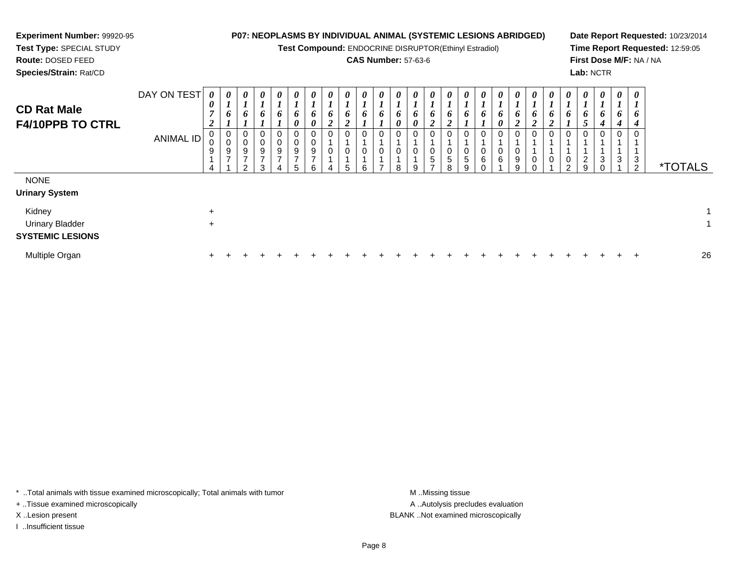| <b>Experiment Number: 99920-95</b><br>Test Type: SPECIAL STUDY<br>Route: DOSED FEED<br>Species/Strain: Rat/CD |                          |                            |               |                                 |                                 |                                 |             |                    | <b>CAS Number: 57-63-6</b> |   |                            |               | <b>P07: NEOPLASMS BY INDIVIDUAL ANIMAL (SYSTEMIC LESIONS ABRIDGED)</b><br>Test Compound: ENDOCRINE DISRUPTOR(Ethinyl Estradiol) |             |   |                   |  |   | Lab: NCTR |              |             |        | Date Report Requested: 10/23/2014<br>Time Report Requested: 12:59:05<br>First Dose M/F: NA / NA |
|---------------------------------------------------------------------------------------------------------------|--------------------------|----------------------------|---------------|---------------------------------|---------------------------------|---------------------------------|-------------|--------------------|----------------------------|---|----------------------------|---------------|---------------------------------------------------------------------------------------------------------------------------------|-------------|---|-------------------|--|---|-----------|--------------|-------------|--------|-------------------------------------------------------------------------------------------------|
| <b>CD Rat Male</b><br><b>F4/10PPB TO CTRL</b>                                                                 | DAY ON TEST<br>ANIMAL ID | $\boldsymbol{\theta}$<br>9 | $\theta$<br>9 | $\boldsymbol{\theta}$<br>9<br>ົ | $\boldsymbol{\theta}$<br>9<br>3 | $\boldsymbol{\theta}$<br>0<br>9 | U<br>9<br>6 | $\theta$<br>6<br>0 | 0                          | 8 | $\boldsymbol{\theta}$<br>9 | $\theta$<br>5 | $\boldsymbol{\theta}$<br>0<br>0<br>8                                                                                            | 0<br>5<br>9 | 6 | 0<br>n.<br>9<br>9 |  | າ | 9         | O.<br>4<br>3 | 6<br>4<br>3 | 3<br>2 | <i><b>*TOTALS</b></i>                                                                           |
| <b>NONE</b><br><b>Urinary System</b><br>Kidney<br><b>Urinary Bladder</b><br><b>SYSTEMIC LESIONS</b>           |                          | $\ddot{}$<br>$\ddot{}$     |               |                                 |                                 |                                 |             |                    |                            |   |                            |               |                                                                                                                                 |             |   |                   |  |   |           |              |             |        |                                                                                                 |

\* ..Total animals with tissue examined microscopically; Total animals with tumor M..Missing tissue M ..Missing tissue

n  $+$ 

+ ..Tissue examined microscopically

I ..Insufficient tissue

Multiple Organ

A ..Autolysis precludes evaluation X ..Lesion present BLANK ..Not examined microscopically

<sup>+</sup> <sup>+</sup> <sup>+</sup> <sup>+</sup> <sup>+</sup> <sup>+</sup> <sup>+</sup> <sup>+</sup> <sup>+</sup> <sup>+</sup> <sup>+</sup> <sup>+</sup> <sup>+</sup> <sup>+</sup> <sup>+</sup> <sup>+</sup> <sup>+</sup> <sup>+</sup> <sup>+</sup> <sup>+</sup> <sup>+</sup> <sup>+</sup> <sup>+</sup> <sup>+</sup> <sup>+</sup> <sup>26</sup>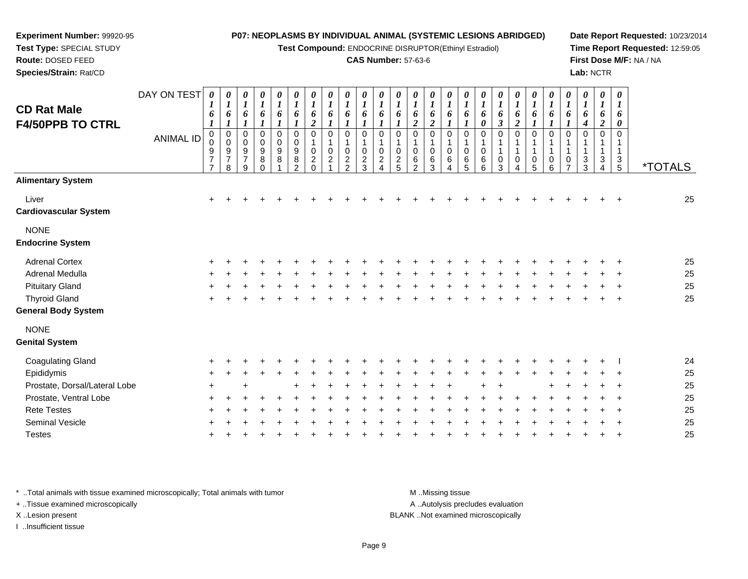**Test Compound:** ENDOCRINE DISRUPTOR(Ethinyl Estradiol)

#### **CAS Number:** 57-63-6

**Date Report Requested:** 10/23/2014**Time Report Requested:** 12:59:05**First Dose M/F:** NA / NA**Lab:** NCTR

| <b>Alimentary System</b><br>Liver<br>$\ddot{}$<br>٠<br><b>Cardiovascular System</b><br><b>NONE</b><br><b>Endocrine System</b><br><b>Adrenal Cortex</b><br>Adrenal Medulla<br><b>Pituitary Gland</b><br><b>Thyroid Gland</b><br><b>General Body System</b><br><b>NONE</b><br><b>Genital System</b><br><b>Coagulating Gland</b> | 25 |
|-------------------------------------------------------------------------------------------------------------------------------------------------------------------------------------------------------------------------------------------------------------------------------------------------------------------------------|----|
|                                                                                                                                                                                                                                                                                                                               |    |
|                                                                                                                                                                                                                                                                                                                               |    |
|                                                                                                                                                                                                                                                                                                                               |    |
|                                                                                                                                                                                                                                                                                                                               | 25 |
|                                                                                                                                                                                                                                                                                                                               | 25 |
|                                                                                                                                                                                                                                                                                                                               | 25 |
|                                                                                                                                                                                                                                                                                                                               | 25 |
|                                                                                                                                                                                                                                                                                                                               |    |
|                                                                                                                                                                                                                                                                                                                               |    |
|                                                                                                                                                                                                                                                                                                                               | 24 |
| Epididymis                                                                                                                                                                                                                                                                                                                    | 25 |
| Prostate, Dorsal/Lateral Lobe                                                                                                                                                                                                                                                                                                 | 25 |
| Prostate, Ventral Lobe                                                                                                                                                                                                                                                                                                        |    |
| <b>Rete Testes</b>                                                                                                                                                                                                                                                                                                            | 25 |
| <b>Seminal Vesicle</b>                                                                                                                                                                                                                                                                                                        | 25 |
| <b>Testes</b>                                                                                                                                                                                                                                                                                                                 | 25 |

\* ..Total animals with tissue examined microscopically; Total animals with tumor **M** . Missing tissue M ..Missing tissue

+ ..Tissue examined microscopically

**Experiment Number:** 99920-95**Test Type:** SPECIAL STUDY**Route:** DOSED FEED**Species/Strain:** Rat/CD

X ..Lesion present BLANK ..Not examined microscopically

I ..Insufficient tissue

A ..Autolysis precludes evaluation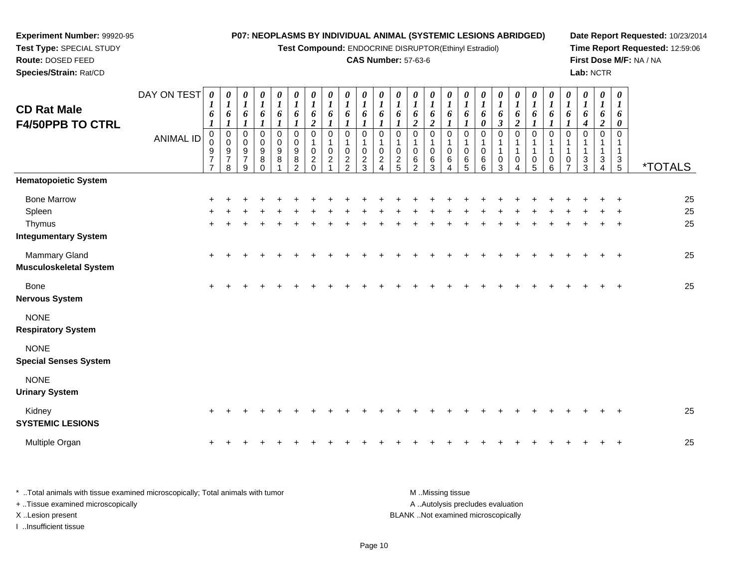| Experiment Number: 99920-95<br>Test Type: SPECIAL STUDY<br>Route: DOSED FEED |                  |                                                             |                                                  |                                                          |                                            |                                                                    |                                                     |                                                                  |                                                |                                                                   |                                              | <b>CAS Number: 57-63-6</b>                                         |                                                                 |                                                                    |                                                         |                                                      | P07: NEOPLASMS BY INDIVIDUAL ANIMAL (SYSTEMIC LESIONS ABRIDGED)<br>Test Compound: ENDOCRINE DISRUPTOR(Ethinyl Estradiol) |                                                     |                                              |                                                                  |                            |                                                |                                            |                                                |                                                |                                      | Date Report Requested: 10/23/2014<br>Time Report Requested: 12:59:06<br>First Dose M/F: NA / NA |
|------------------------------------------------------------------------------|------------------|-------------------------------------------------------------|--------------------------------------------------|----------------------------------------------------------|--------------------------------------------|--------------------------------------------------------------------|-----------------------------------------------------|------------------------------------------------------------------|------------------------------------------------|-------------------------------------------------------------------|----------------------------------------------|--------------------------------------------------------------------|-----------------------------------------------------------------|--------------------------------------------------------------------|---------------------------------------------------------|------------------------------------------------------|--------------------------------------------------------------------------------------------------------------------------|-----------------------------------------------------|----------------------------------------------|------------------------------------------------------------------|----------------------------|------------------------------------------------|--------------------------------------------|------------------------------------------------|------------------------------------------------|--------------------------------------|-------------------------------------------------------------------------------------------------|
| Species/Strain: Rat/CD                                                       |                  |                                                             |                                                  |                                                          |                                            |                                                                    |                                                     |                                                                  |                                                |                                                                   |                                              |                                                                    |                                                                 |                                                                    |                                                         |                                                      |                                                                                                                          |                                                     |                                              |                                                                  |                            |                                                |                                            | Lab: NCTR                                      |                                                |                                      |                                                                                                 |
| <b>CD Rat Male</b><br><b>F4/50PPB TO CTRL</b>                                | DAY ON TEST      | 0<br>1<br>6                                                 | 0<br>$\boldsymbol{I}$<br>6<br>1                  | 0<br>$\boldsymbol{I}$<br>6<br>$\boldsymbol{l}$           | 0<br>$\boldsymbol{l}$<br>6<br>$\mathbf{I}$ | $\boldsymbol{\theta}$<br>$\boldsymbol{l}$<br>6<br>$\boldsymbol{l}$ | 0<br>$\boldsymbol{l}$<br>6<br>$\boldsymbol{l}$      | $\boldsymbol{\theta}$<br>$\boldsymbol{l}$<br>6<br>$\overline{2}$ | 0<br>$\boldsymbol{l}$<br>6<br>$\boldsymbol{l}$ | 0<br>$\boldsymbol{l}$<br>6<br>$\boldsymbol{l}$                    | 0<br>$\boldsymbol{l}$<br>6<br>$\mathbf{I}$   | 0<br>$\boldsymbol{l}$<br>6<br>$\boldsymbol{l}$                     | 0<br>$\boldsymbol{l}$<br>6<br>$\boldsymbol{l}$                  | $\boldsymbol{\theta}$<br>$\boldsymbol{l}$<br>6<br>$\boldsymbol{2}$ | 0<br>$\boldsymbol{l}$<br>6<br>$\boldsymbol{2}$          | 0<br>$\boldsymbol{l}$<br>6<br>$\boldsymbol{l}$       | $\boldsymbol{\theta}$<br>$\boldsymbol{l}$<br>6<br>$\mathbf{I}$                                                           | 0<br>$\boldsymbol{l}$<br>6<br>$\boldsymbol{\theta}$ | 0<br>$\boldsymbol{l}$<br>6<br>$\mathfrak{z}$ | $\boldsymbol{\theta}$<br>$\boldsymbol{l}$<br>6<br>$\overline{2}$ | 0<br>$\boldsymbol{l}$<br>6 | 0<br>$\boldsymbol{l}$<br>6<br>$\boldsymbol{l}$ | 0<br>$\boldsymbol{l}$<br>6<br>$\mathbf{I}$ | 0<br>$\boldsymbol{l}$<br>6<br>$\boldsymbol{4}$ | 0<br>$\boldsymbol{l}$<br>6<br>$\boldsymbol{2}$ | $\pmb{\theta}$<br>$\bm{l}$<br>6<br>0 |                                                                                                 |
|                                                                              | <b>ANIMAL ID</b> | $\mathbf 0$<br>$\pmb{0}$<br>$\frac{9}{7}$<br>$\overline{7}$ | $\mathbf 0$<br>$\mathbf 0$<br>$\frac{9}{7}$<br>8 | $\mathbf 0$<br>$\mathbf 0$<br>9<br>$\boldsymbol{7}$<br>9 | 0<br>0<br>9<br>8<br>$\Omega$               | $\mathbf 0$<br>$\Omega$<br>9<br>8                                  | $\mathbf 0$<br>$\Omega$<br>9<br>8<br>$\mathfrak{p}$ | $\Omega$<br>0<br>$\overline{c}$<br>$\Omega$                      | $\Omega$<br>$\mathbf 0$<br>$\overline{2}$      | $\mathbf 0$<br>$\mathbf{1}$<br>$\mathbf 0$<br>$\overline{c}$<br>2 | $\mathbf 0$<br>1<br>0<br>$\overline{c}$<br>3 | $\mathbf 0$<br>-1<br>0<br>$\overline{c}$<br>$\boldsymbol{\Lambda}$ | $\mathbf 0$<br>1<br>$\mathbf 0$<br>$\overline{\mathbf{c}}$<br>5 | $\mathbf 0$<br>0<br>6<br>$\overline{2}$                            | $\mathbf 0$<br>$\mathbf 1$<br>$\mathbf 0$<br>$\,6$<br>3 | $\mathbf 0$<br>$\mathbf{1}$<br>$\mathbf 0$<br>6<br>Δ | 0<br>0<br>6<br>5                                                                                                         | $\Omega$<br>$\mathbf 0$<br>6<br>6                   | $\Omega$<br>0<br>3                           | $\Omega$<br>0                                                    | $\Omega$<br>0<br>5         | $\Omega$<br>1<br>1<br>0<br>6                   | $\Omega$<br>0<br>$\overline{7}$            | $\Omega$<br>3<br>3                             | $\mathbf 0$<br>1<br>1<br>3<br>4                | $\mathbf 0$<br>-1<br>3<br>5          | <i><b>*TOTALS</b></i>                                                                           |
| <b>Hematopoietic System</b>                                                  |                  |                                                             |                                                  |                                                          |                                            |                                                                    |                                                     |                                                                  |                                                |                                                                   |                                              |                                                                    |                                                                 |                                                                    |                                                         |                                                      |                                                                                                                          |                                                     |                                              |                                                                  |                            |                                                |                                            |                                                |                                                |                                      |                                                                                                 |
| <b>Bone Marrow</b><br>Spleen<br>Thymus<br><b>Integumentary System</b>        |                  |                                                             |                                                  |                                                          |                                            |                                                                    |                                                     |                                                                  |                                                |                                                                   |                                              |                                                                    |                                                                 |                                                                    |                                                         |                                                      |                                                                                                                          |                                                     |                                              |                                                                  |                            |                                                |                                            |                                                |                                                |                                      | 25<br>25<br>25                                                                                  |
| <b>Mammary Gland</b><br><b>Musculoskeletal System</b>                        |                  |                                                             |                                                  |                                                          |                                            |                                                                    |                                                     |                                                                  |                                                |                                                                   |                                              |                                                                    |                                                                 |                                                                    |                                                         |                                                      |                                                                                                                          |                                                     |                                              |                                                                  |                            |                                                |                                            |                                                |                                                |                                      | 25                                                                                              |
| Bone<br><b>Nervous System</b>                                                |                  | $+$                                                         |                                                  |                                                          |                                            |                                                                    |                                                     |                                                                  |                                                |                                                                   |                                              |                                                                    |                                                                 |                                                                    |                                                         |                                                      |                                                                                                                          |                                                     |                                              |                                                                  |                            |                                                |                                            |                                                |                                                |                                      | 25                                                                                              |
| <b>NONE</b><br><b>Respiratory System</b>                                     |                  |                                                             |                                                  |                                                          |                                            |                                                                    |                                                     |                                                                  |                                                |                                                                   |                                              |                                                                    |                                                                 |                                                                    |                                                         |                                                      |                                                                                                                          |                                                     |                                              |                                                                  |                            |                                                |                                            |                                                |                                                |                                      |                                                                                                 |
| <b>NONE</b><br><b>Special Senses System</b>                                  |                  |                                                             |                                                  |                                                          |                                            |                                                                    |                                                     |                                                                  |                                                |                                                                   |                                              |                                                                    |                                                                 |                                                                    |                                                         |                                                      |                                                                                                                          |                                                     |                                              |                                                                  |                            |                                                |                                            |                                                |                                                |                                      |                                                                                                 |
| <b>NONE</b><br><b>Urinary System</b>                                         |                  |                                                             |                                                  |                                                          |                                            |                                                                    |                                                     |                                                                  |                                                |                                                                   |                                              |                                                                    |                                                                 |                                                                    |                                                         |                                                      |                                                                                                                          |                                                     |                                              |                                                                  |                            |                                                |                                            |                                                |                                                |                                      |                                                                                                 |
| Kidney<br><b>SYSTEMIC LESIONS</b>                                            |                  |                                                             |                                                  |                                                          |                                            |                                                                    |                                                     |                                                                  |                                                |                                                                   |                                              |                                                                    |                                                                 |                                                                    |                                                         |                                                      |                                                                                                                          |                                                     |                                              |                                                                  |                            |                                                |                                            |                                                |                                                |                                      | 25                                                                                              |
| Multiple Organ                                                               |                  |                                                             |                                                  |                                                          |                                            |                                                                    |                                                     |                                                                  |                                                |                                                                   |                                              |                                                                    |                                                                 |                                                                    |                                                         |                                                      |                                                                                                                          |                                                     |                                              |                                                                  |                            |                                                |                                            |                                                |                                                |                                      | 25                                                                                              |

\* ..Total animals with tissue examined microscopically; Total animals with tumor M..Missing tissue M ..Missing tissue A ..Autolysis precludes evaluation + ..Tissue examined microscopically X ..Lesion present BLANK ..Not examined microscopicallyI ..Insufficient tissue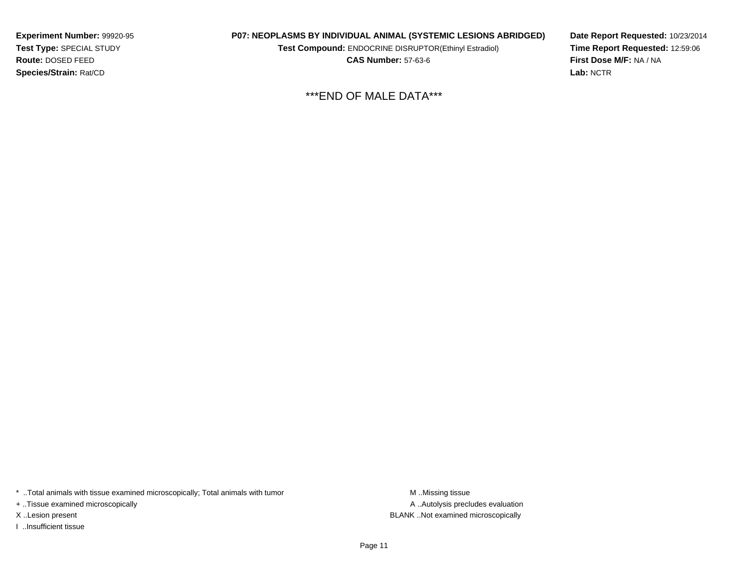**Experiment Number:** 99920-95**Test Type:** SPECIAL STUDY**Route:** DOSED FEED**Species/Strain:** Rat/CD

#### **P07: NEOPLASMS BY INDIVIDUAL ANIMAL (SYSTEMIC LESIONS ABRIDGED)**

**Test Compound:** ENDOCRINE DISRUPTOR(Ethinyl Estradiol)

**CAS Number:** 57-63-6

**Date Report Requested:** 10/23/2014**Time Report Requested:** 12:59:06**First Dose M/F:** NA / NA**Lab:** NCTR

\*\*\*END OF MALE DATA\*\*\*

\* ..Total animals with tissue examined microscopically; Total animals with tumor **M** . Missing tissue M ..Missing tissue

+ ..Tissue examined microscopically

I ..Insufficient tissue

A ..Autolysis precludes evaluation X ..Lesion present BLANK ..Not examined microscopically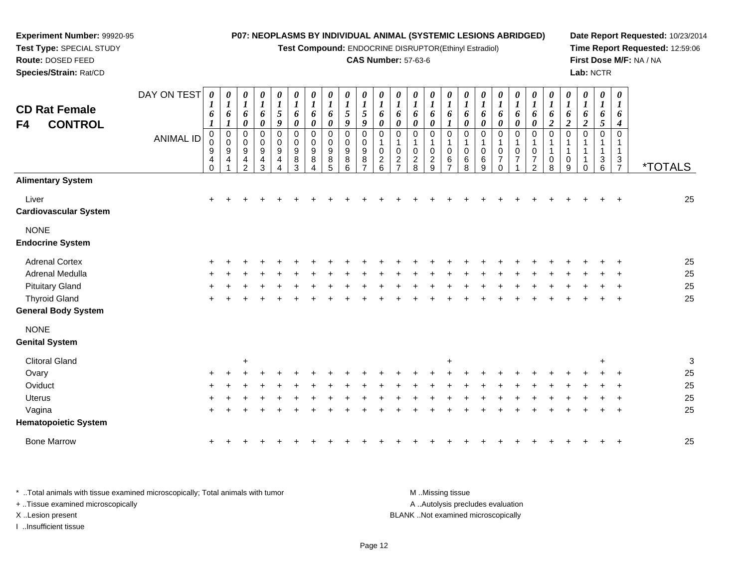**Test Compound:** ENDOCRINE DISRUPTOR(Ethinyl Estradiol)

#### **CAS Number:** 57-63-6

**Date Report Requested:** 10/23/2014**Time Report Requested:** 12:59:06**First Dose M/F:** NA / NA**Lab:** NCTR

| <b>CD Rat Female</b><br><b>CONTROL</b><br>F4 | DAY ON TEST<br><b>ANIMAL ID</b> | $\boldsymbol{\theta}$<br>$\bm{l}$<br>6<br>1<br>$\pmb{0}$<br>0<br>9<br>4<br>$\Omega$ | 0<br>$\boldsymbol{l}$<br>6<br>1<br>$\pmb{0}$<br>$\pmb{0}$<br>9<br>4 | $\boldsymbol{\theta}$<br>$\boldsymbol{l}$<br>6<br>$\pmb{\theta}$<br>$\pmb{0}$<br>$\,0\,$<br>$\boldsymbol{9}$<br>$\overline{4}$<br>2 | $\pmb{\theta}$<br>$\boldsymbol{l}$<br>6<br>$\pmb{\theta}$<br>$\pmb{0}$<br>$\pmb{0}$<br>$\boldsymbol{9}$<br>$\overline{4}$<br>3 | $\pmb{\theta}$<br>$\boldsymbol{l}$<br>$\sqrt{5}$<br>$\boldsymbol{g}$<br>0<br>$\pmb{0}$<br>$\boldsymbol{9}$<br>$\overline{4}$<br>4 | $\pmb{\theta}$<br>$\boldsymbol{l}$<br>6<br>$\boldsymbol{\theta}$<br>$\mathbf 0$<br>$\pmb{0}$<br>$\boldsymbol{9}$<br>$\,8\,$<br>3 | $\pmb{\theta}$<br>$\boldsymbol{l}$<br>6<br>$\pmb{\theta}$<br>$\pmb{0}$<br>$\mathbf 0$<br>$\boldsymbol{9}$<br>$\,8\,$<br>4 | 0<br>$\boldsymbol{l}$<br>6<br>0<br>$\mathbf 0$<br>$\Omega$<br>9<br>8<br>5 | $\pmb{\theta}$<br>$\boldsymbol{l}$<br>$\sqrt{5}$<br>9<br>$\mathbf 0$<br>0<br>9<br>8<br>6 | $\boldsymbol{\theta}$<br>$\boldsymbol{l}$<br>5<br>9<br>$\mathbf 0$<br>$\mathbf 0$<br>$\boldsymbol{9}$<br>8<br>$\overline{ }$ | $\frac{\theta}{I}$<br>6<br>$\pmb{\theta}$<br>$\mathbf 0$<br>1<br>$\pmb{0}$<br>$\overline{c}$<br>6 | $\boldsymbol{\theta}$<br>$\boldsymbol{l}$<br>6<br>$\pmb{\theta}$<br>0<br>1<br>$\pmb{0}$<br>$\overline{2}$<br>$\overline{\phantom{a}}$ | 0<br>$\boldsymbol{l}$<br>6<br>0<br>0<br>1<br>0<br>$\overline{\mathbf{c}}$<br>8 | 0<br>$\boldsymbol{l}$<br>6<br>$\boldsymbol{\theta}$<br>$\mathbf 0$<br>$\mathbf 1$<br>$\pmb{0}$<br>$\sqrt{2}$<br>9 | $\boldsymbol{\theta}$<br>$\boldsymbol{l}$<br>6<br>1<br>0<br>1<br>0<br>$\,6\,$<br>⇁ | 0<br>$\boldsymbol{l}$<br>6<br>$\pmb{\theta}$<br>$\mathbf 0$<br>$\mathbf 0$<br>6<br>8 | 0<br>$\boldsymbol{l}$<br>6<br>0<br>$\mathbf 0$<br>-1<br>$\mathbf 0$<br>6<br>9 | $\pmb{\theta}$<br>$\boldsymbol{l}$<br>6<br>$\pmb{\theta}$<br>$\mathbf 0$<br>$\mathbf 0$<br>$\overline{7}$<br>$\Omega$ | 0<br>$\boldsymbol{l}$<br>6<br>$\pmb{\theta}$<br>0<br>0<br>$\overline{7}$ | $\boldsymbol{\theta}$<br>$\boldsymbol{l}$<br>6<br>$\pmb{\theta}$<br>0<br>$\pmb{0}$<br>$\overline{7}$<br>2 | $\pmb{\theta}$<br>$\boldsymbol{l}$<br>6<br>$\boldsymbol{2}$<br>$\pmb{0}$<br>$\mathbf 1$<br>$\mathbf{1}$<br>$\mathbf 0$<br>8 | $\pmb{\theta}$<br>$\boldsymbol{l}$<br>6<br>$\overline{2}$<br>$\mathbf 0$<br>$\mathbf{1}$<br>$\pmb{0}$<br>9 | 0<br>$\boldsymbol{l}$<br>6<br>$\boldsymbol{2}$<br>0<br>$\Omega$ | $\pmb{\theta}$<br>$\boldsymbol{l}$<br>6<br>5<br>$\mathbf 0$<br>$\mathbf{1}$<br>$\ensuremath{\mathsf{3}}$<br>6 | $\pmb{\theta}$<br>$\boldsymbol{l}$<br>6<br>4<br>$\mathbf 0$<br>1<br>$\mathbf{1}$<br>$\sqrt{3}$<br>$\overline{7}$ | <i><b>*TOTALS</b></i> |
|----------------------------------------------|---------------------------------|-------------------------------------------------------------------------------------|---------------------------------------------------------------------|-------------------------------------------------------------------------------------------------------------------------------------|--------------------------------------------------------------------------------------------------------------------------------|-----------------------------------------------------------------------------------------------------------------------------------|----------------------------------------------------------------------------------------------------------------------------------|---------------------------------------------------------------------------------------------------------------------------|---------------------------------------------------------------------------|------------------------------------------------------------------------------------------|------------------------------------------------------------------------------------------------------------------------------|---------------------------------------------------------------------------------------------------|---------------------------------------------------------------------------------------------------------------------------------------|--------------------------------------------------------------------------------|-------------------------------------------------------------------------------------------------------------------|------------------------------------------------------------------------------------|--------------------------------------------------------------------------------------|-------------------------------------------------------------------------------|-----------------------------------------------------------------------------------------------------------------------|--------------------------------------------------------------------------|-----------------------------------------------------------------------------------------------------------|-----------------------------------------------------------------------------------------------------------------------------|------------------------------------------------------------------------------------------------------------|-----------------------------------------------------------------|---------------------------------------------------------------------------------------------------------------|------------------------------------------------------------------------------------------------------------------|-----------------------|
| <b>Alimentary System</b>                     |                                 |                                                                                     |                                                                     |                                                                                                                                     |                                                                                                                                |                                                                                                                                   |                                                                                                                                  |                                                                                                                           |                                                                           |                                                                                          |                                                                                                                              |                                                                                                   |                                                                                                                                       |                                                                                |                                                                                                                   |                                                                                    |                                                                                      |                                                                               |                                                                                                                       |                                                                          |                                                                                                           |                                                                                                                             |                                                                                                            |                                                                 |                                                                                                               |                                                                                                                  |                       |
| Liver<br><b>Cardiovascular System</b>        |                                 |                                                                                     |                                                                     |                                                                                                                                     |                                                                                                                                |                                                                                                                                   |                                                                                                                                  |                                                                                                                           |                                                                           |                                                                                          |                                                                                                                              |                                                                                                   |                                                                                                                                       |                                                                                |                                                                                                                   |                                                                                    |                                                                                      |                                                                               |                                                                                                                       |                                                                          |                                                                                                           |                                                                                                                             |                                                                                                            |                                                                 |                                                                                                               |                                                                                                                  | 25                    |
| <b>NONE</b><br><b>Endocrine System</b>       |                                 |                                                                                     |                                                                     |                                                                                                                                     |                                                                                                                                |                                                                                                                                   |                                                                                                                                  |                                                                                                                           |                                                                           |                                                                                          |                                                                                                                              |                                                                                                   |                                                                                                                                       |                                                                                |                                                                                                                   |                                                                                    |                                                                                      |                                                                               |                                                                                                                       |                                                                          |                                                                                                           |                                                                                                                             |                                                                                                            |                                                                 |                                                                                                               |                                                                                                                  |                       |
| <b>Adrenal Cortex</b>                        |                                 |                                                                                     |                                                                     |                                                                                                                                     |                                                                                                                                |                                                                                                                                   |                                                                                                                                  |                                                                                                                           |                                                                           |                                                                                          |                                                                                                                              |                                                                                                   |                                                                                                                                       |                                                                                |                                                                                                                   |                                                                                    |                                                                                      |                                                                               |                                                                                                                       |                                                                          |                                                                                                           |                                                                                                                             |                                                                                                            |                                                                 |                                                                                                               |                                                                                                                  | 25                    |
| Adrenal Medulla                              |                                 |                                                                                     |                                                                     |                                                                                                                                     |                                                                                                                                |                                                                                                                                   |                                                                                                                                  |                                                                                                                           |                                                                           |                                                                                          |                                                                                                                              |                                                                                                   |                                                                                                                                       |                                                                                |                                                                                                                   |                                                                                    |                                                                                      |                                                                               |                                                                                                                       |                                                                          |                                                                                                           |                                                                                                                             |                                                                                                            |                                                                 |                                                                                                               |                                                                                                                  | 25                    |
| <b>Pituitary Gland</b>                       |                                 |                                                                                     |                                                                     |                                                                                                                                     |                                                                                                                                |                                                                                                                                   |                                                                                                                                  |                                                                                                                           |                                                                           |                                                                                          |                                                                                                                              |                                                                                                   |                                                                                                                                       |                                                                                |                                                                                                                   |                                                                                    |                                                                                      |                                                                               |                                                                                                                       |                                                                          |                                                                                                           |                                                                                                                             |                                                                                                            |                                                                 |                                                                                                               |                                                                                                                  | 25                    |
| <b>Thyroid Gland</b>                         |                                 |                                                                                     |                                                                     |                                                                                                                                     |                                                                                                                                |                                                                                                                                   |                                                                                                                                  |                                                                                                                           |                                                                           |                                                                                          |                                                                                                                              |                                                                                                   |                                                                                                                                       |                                                                                |                                                                                                                   |                                                                                    |                                                                                      |                                                                               |                                                                                                                       |                                                                          |                                                                                                           |                                                                                                                             |                                                                                                            |                                                                 |                                                                                                               |                                                                                                                  | 25                    |
| <b>General Body System</b>                   |                                 |                                                                                     |                                                                     |                                                                                                                                     |                                                                                                                                |                                                                                                                                   |                                                                                                                                  |                                                                                                                           |                                                                           |                                                                                          |                                                                                                                              |                                                                                                   |                                                                                                                                       |                                                                                |                                                                                                                   |                                                                                    |                                                                                      |                                                                               |                                                                                                                       |                                                                          |                                                                                                           |                                                                                                                             |                                                                                                            |                                                                 |                                                                                                               |                                                                                                                  |                       |
| <b>NONE</b><br><b>Genital System</b>         |                                 |                                                                                     |                                                                     |                                                                                                                                     |                                                                                                                                |                                                                                                                                   |                                                                                                                                  |                                                                                                                           |                                                                           |                                                                                          |                                                                                                                              |                                                                                                   |                                                                                                                                       |                                                                                |                                                                                                                   |                                                                                    |                                                                                      |                                                                               |                                                                                                                       |                                                                          |                                                                                                           |                                                                                                                             |                                                                                                            |                                                                 |                                                                                                               |                                                                                                                  |                       |
| <b>Clitoral Gland</b>                        |                                 |                                                                                     |                                                                     | $\ddot{}$                                                                                                                           |                                                                                                                                |                                                                                                                                   |                                                                                                                                  |                                                                                                                           |                                                                           |                                                                                          |                                                                                                                              |                                                                                                   |                                                                                                                                       |                                                                                |                                                                                                                   | $\ddot{}$                                                                          |                                                                                      |                                                                               |                                                                                                                       |                                                                          |                                                                                                           |                                                                                                                             |                                                                                                            |                                                                 | $\ddot{}$                                                                                                     |                                                                                                                  | $\mathbf{3}$          |
| Ovary                                        |                                 |                                                                                     |                                                                     |                                                                                                                                     |                                                                                                                                |                                                                                                                                   |                                                                                                                                  |                                                                                                                           |                                                                           |                                                                                          |                                                                                                                              |                                                                                                   |                                                                                                                                       |                                                                                |                                                                                                                   |                                                                                    |                                                                                      |                                                                               |                                                                                                                       |                                                                          |                                                                                                           |                                                                                                                             |                                                                                                            |                                                                 |                                                                                                               |                                                                                                                  | 25                    |
| Oviduct                                      |                                 |                                                                                     |                                                                     |                                                                                                                                     |                                                                                                                                |                                                                                                                                   |                                                                                                                                  |                                                                                                                           |                                                                           |                                                                                          |                                                                                                                              |                                                                                                   |                                                                                                                                       |                                                                                |                                                                                                                   |                                                                                    |                                                                                      |                                                                               |                                                                                                                       |                                                                          |                                                                                                           |                                                                                                                             |                                                                                                            |                                                                 |                                                                                                               |                                                                                                                  | 25                    |
| Uterus                                       |                                 |                                                                                     |                                                                     |                                                                                                                                     |                                                                                                                                |                                                                                                                                   |                                                                                                                                  |                                                                                                                           |                                                                           |                                                                                          |                                                                                                                              |                                                                                                   |                                                                                                                                       |                                                                                |                                                                                                                   |                                                                                    |                                                                                      |                                                                               |                                                                                                                       |                                                                          |                                                                                                           |                                                                                                                             |                                                                                                            |                                                                 |                                                                                                               |                                                                                                                  | 25                    |
| Vagina                                       |                                 |                                                                                     |                                                                     |                                                                                                                                     |                                                                                                                                |                                                                                                                                   |                                                                                                                                  |                                                                                                                           |                                                                           |                                                                                          |                                                                                                                              |                                                                                                   |                                                                                                                                       |                                                                                |                                                                                                                   |                                                                                    |                                                                                      |                                                                               |                                                                                                                       |                                                                          |                                                                                                           |                                                                                                                             |                                                                                                            |                                                                 |                                                                                                               |                                                                                                                  | 25                    |
| <b>Hematopoietic System</b>                  |                                 |                                                                                     |                                                                     |                                                                                                                                     |                                                                                                                                |                                                                                                                                   |                                                                                                                                  |                                                                                                                           |                                                                           |                                                                                          |                                                                                                                              |                                                                                                   |                                                                                                                                       |                                                                                |                                                                                                                   |                                                                                    |                                                                                      |                                                                               |                                                                                                                       |                                                                          |                                                                                                           |                                                                                                                             |                                                                                                            |                                                                 |                                                                                                               |                                                                                                                  |                       |
| <b>Bone Marrow</b>                           |                                 | +                                                                                   |                                                                     |                                                                                                                                     |                                                                                                                                |                                                                                                                                   |                                                                                                                                  |                                                                                                                           |                                                                           |                                                                                          |                                                                                                                              |                                                                                                   |                                                                                                                                       |                                                                                |                                                                                                                   |                                                                                    |                                                                                      |                                                                               |                                                                                                                       |                                                                          |                                                                                                           |                                                                                                                             |                                                                                                            |                                                                 |                                                                                                               |                                                                                                                  | 25                    |

\* ..Total animals with tissue examined microscopically; Total animals with tumor **M** . Missing tissue M ..Missing tissue A ..Autolysis precludes evaluation + ..Tissue examined microscopically X ..Lesion present BLANK ..Not examined microscopicallyI ..Insufficient tissue

**Experiment Number:** 99920-95**Test Type:** SPECIAL STUDY**Route:** DOSED FEED**Species/Strain:** Rat/CD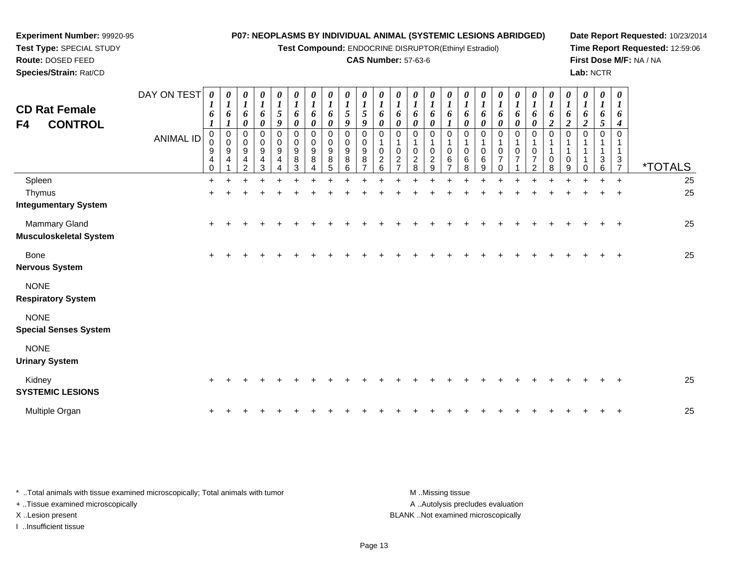**Test Compound:** ENDOCRINE DISRUPTOR(Ethinyl Estradiol)

#### **CAS Number:** 57-63-6

<sup>+</sup> <sup>+</sup> <sup>+</sup> <sup>+</sup> <sup>+</sup> <sup>+</sup> <sup>+</sup> <sup>+</sup> <sup>+</sup> <sup>+</sup> <sup>+</sup> <sup>+</sup> <sup>+</sup> <sup>+</sup> <sup>+</sup> <sup>+</sup> <sup>+</sup> <sup>+</sup> <sup>+</sup> <sup>+</sup> <sup>+</sup> <sup>+</sup> <sup>+</sup> <sup>+</sup> <sup>25</sup>

**Date Report Requested:** 10/23/2014**Time Report Requested:** 12:59:06**First Dose M/F:** NA / NA**Lab:** NCTR

| Species/Strain: Rat/CD                                |                  |                                         |                                              |                            |             |                       |                          |                                 |                                        |                                       |                                                    |                                   |                        |                            |                     |                   |                                          |                                            |                            |                          |                |          |     |        | Lab: NCTR     |                            |                       |
|-------------------------------------------------------|------------------|-----------------------------------------|----------------------------------------------|----------------------------|-------------|-----------------------|--------------------------|---------------------------------|----------------------------------------|---------------------------------------|----------------------------------------------------|-----------------------------------|------------------------|----------------------------|---------------------|-------------------|------------------------------------------|--------------------------------------------|----------------------------|--------------------------|----------------|----------|-----|--------|---------------|----------------------------|-----------------------|
| <b>CD Rat Female</b>                                  | DAY ON TEST      | 0<br>$\mathbf{I}$<br>$\mathbf{I}$<br>6  | $\boldsymbol{\theta}$<br>$\mathbf{I}$<br>6   | 0<br>$\boldsymbol{l}$<br>6 | 0           | 0<br>5                | 0<br>6                   | 0<br>6                          | $\boldsymbol{\theta}$<br>6             | 0<br>$\mathbf{I}$<br>$\sqrt{5}$       | 0<br>5                                             | 0<br>6                            | 0<br>$\mathbf{I}$<br>6 | $\boldsymbol{\theta}$<br>6 | $\theta$<br>6       | 0<br>6            | $\boldsymbol{\theta}$<br>6               | 0<br>6                                     | $\boldsymbol{\theta}$<br>6 | 0                        | 0              | 0        | 0   | 0      | 0<br>6        | $\boldsymbol{\theta}$<br>6 |                       |
| <b>CONTROL</b><br>F4                                  |                  |                                         |                                              | 0                          | 6<br>0      | 9                     | 0                        | 0                               | $\pmb{\theta}$                         | 9                                     | 9                                                  | 0                                 | 0                      | $\boldsymbol{\theta}$      | 0                   |                   | 0                                        | 0                                          | 0                          | 0                        |                | ∠        |     | Đ<br>◢ | $\mathcal{L}$ | 4                          |                       |
|                                                       | <b>ANIMAL ID</b> | 0<br>$\boldsymbol{9}$<br>$\overline{4}$ | 0<br>0<br>$\boldsymbol{9}$<br>$\overline{a}$ | 0<br>9<br>4                | ∩<br>9<br>4 | 0<br>0<br>$\mathsf g$ | 0<br>$_{9}^{\rm 0}$<br>8 | 0<br>0<br>$\boldsymbol{9}$<br>8 | $\pmb{0}$<br>$_{9}^{\rm 0}$<br>$\bf 8$ | 0<br>0<br>$\boldsymbol{9}$<br>$\bf 8$ | $\mathbf 0$<br>$\pmb{0}$<br>$\mathsf g$<br>$\,8\,$ | $\Omega$<br>0<br>$\boldsymbol{2}$ | 0<br>$\frac{2}{7}$     | 0<br>0<br>$\overline{2}$   | 0<br>$\overline{2}$ | 0<br>0<br>$\,6\,$ | 0<br>$\begin{matrix}0\\6\\8\end{matrix}$ | 0<br>$\begin{array}{c} 0 \\ 6 \end{array}$ | 0<br>0<br>$\overline{ }$   | $\overline{\phantom{0}}$ | $\overline{ }$ | 0        | U   |        | $\sqrt{3}$    | 0<br>$\frac{3}{7}$         |                       |
|                                                       |                  | $\mathbf 0$                             |                                              | $\sim$                     |             |                       | 3                        |                                 | 5                                      | 6                                     |                                                    | 6                                 |                        | 8                          | 9                   |                   |                                          | 9                                          |                            |                          | ົ              | $\Omega$ | 9   |        | 6             |                            | <i><b>*TOTALS</b></i> |
| Spleen                                                |                  |                                         |                                              |                            |             |                       |                          |                                 |                                        |                                       |                                                    |                                   |                        |                            |                     |                   |                                          |                                            |                            |                          |                |          | $+$ |        | $+$           | $+$                        | 25                    |
| Thymus<br><b>Integumentary System</b>                 |                  |                                         |                                              |                            |             |                       |                          |                                 |                                        |                                       |                                                    |                                   |                        |                            |                     |                   |                                          |                                            |                            |                          |                |          |     |        |               | $+$                        | 25                    |
| <b>Mammary Gland</b><br><b>Musculoskeletal System</b> |                  |                                         |                                              |                            |             |                       |                          |                                 |                                        |                                       |                                                    |                                   |                        |                            |                     |                   |                                          |                                            |                            |                          |                |          |     |        |               | $\overline{+}$             | 25                    |

Bone $e$  + **Nervous System**

NONE

**Experiment Number:** 99920-95**Test Type:** SPECIAL STUDY**Route:** DOSED FEED

**Respiratory System**

NONE

**Special Senses System**

NONE

**Urinary System**

| ormary oyouchi             |  |  |  |  |  |  |  |  |  |  |  |  |  |    |
|----------------------------|--|--|--|--|--|--|--|--|--|--|--|--|--|----|
| Kidnev<br>SYSTEMIC LESIONS |  |  |  |  |  |  |  |  |  |  |  |  |  | 25 |
| Multiple Organ             |  |  |  |  |  |  |  |  |  |  |  |  |  | 25 |

| * Total animals with tissue examined microscopically; Total animals with tumor | M Missing tissue                   |
|--------------------------------------------------------------------------------|------------------------------------|
| + Tissue examined microscopically                                              | A Autolysis precludes evaluation   |
| X Lesion present                                                               | BLANK Not examined microscopically |
| Insufficient tissue                                                            |                                    |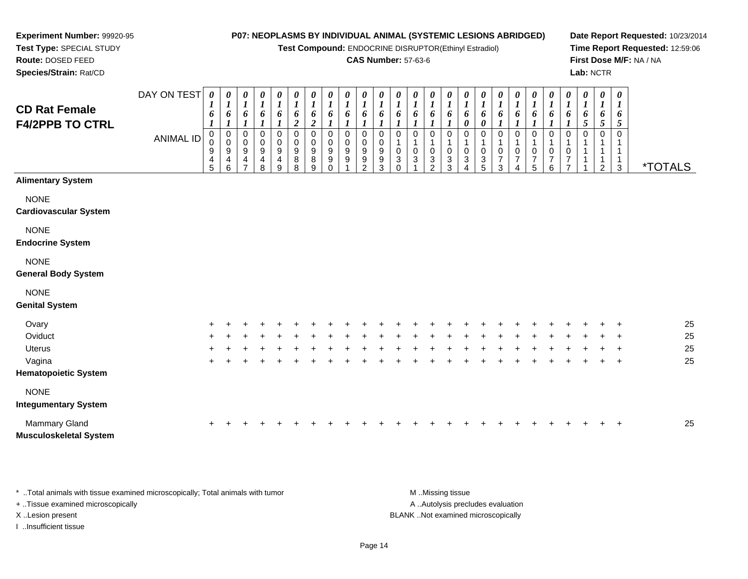DAY ON TEST*0000000000000000000000000*

**Test Compound:** ENDOCRINE DISRUPTOR(Ethinyl Estradiol)

#### **CAS Number:** 57-63-6

**Date Report Requested:** 10/23/2014**Time Report Requested:** 12:59:06**First Dose M/F:** NA / NA**Lab:** NCTR

| <b>CD Rat Female</b><br><b>F4/2PPB TO CTRL</b> |                  | $\boldsymbol{l}$<br>6<br>1      | $\boldsymbol{l}$<br>6<br>$\boldsymbol{l}$ | $\boldsymbol{l}$<br>$\boldsymbol{6}$<br>$\boldsymbol{l}$ | $\boldsymbol{l}$<br>$\boldsymbol{6}$<br>1 | 1<br>6                | 1<br>6<br>$\boldsymbol{2}$    | 1<br>6<br>$\boldsymbol{2}$      | $\boldsymbol{l}$<br>6                   | $\frac{1}{6}$    | $\frac{1}{6}$         | $\boldsymbol{l}$<br>$\boldsymbol{6}$ | $\boldsymbol{l}$<br>6                                        | $\boldsymbol{l}$<br>6       | 1<br>6                       | $\boldsymbol{l}$<br>$\boldsymbol{6}$     | $\boldsymbol{I}$<br>$\boldsymbol{6}$<br>0 | $\boldsymbol{l}$<br>$\boldsymbol{\delta}$<br>$\boldsymbol{\theta}$ | 1<br>6<br>1                          | $\boldsymbol{l}$<br>6<br>1 | 1<br>6<br>$\boldsymbol{l}$         | 1<br>6<br>1                                 | $\boldsymbol{l}$<br>6<br>1                                                 | 1<br>$\pmb{6}$<br>5 | $\boldsymbol{l}$<br>6<br>5         | $\boldsymbol{l}$<br>6<br>5               |                       |
|------------------------------------------------|------------------|---------------------------------|-------------------------------------------|----------------------------------------------------------|-------------------------------------------|-----------------------|-------------------------------|---------------------------------|-----------------------------------------|------------------|-----------------------|--------------------------------------|--------------------------------------------------------------|-----------------------------|------------------------------|------------------------------------------|-------------------------------------------|--------------------------------------------------------------------|--------------------------------------|----------------------------|------------------------------------|---------------------------------------------|----------------------------------------------------------------------------|---------------------|------------------------------------|------------------------------------------|-----------------------|
|                                                | <b>ANIMAL ID</b> | $\mathbf 0$<br>0<br>9<br>4<br>5 | 0<br>0<br>9<br>4<br>6                     | $\mathbf 0$<br>$\mathbf 0$<br>9<br>4<br>$\overline{7}$   | 0<br>$\pmb{0}$<br>9<br>4<br>8             | 0<br>0<br>9<br>4<br>9 | 0<br>$\pmb{0}$<br>9<br>8<br>8 | 0<br>$\mathbf 0$<br>9<br>8<br>9 | 0<br>$\pmb{0}$<br>9<br>9<br>$\mathbf 0$ | 0<br>0<br>9<br>9 | 0<br>0<br>9<br>9<br>2 | 0<br>0<br>$\boldsymbol{9}$<br>9<br>3 | 0<br>1<br>$\pmb{0}$<br>$\ensuremath{\mathsf{3}}$<br>$\Omega$ | 0<br>1<br>0<br>$\mathbf{3}$ | 0<br>1<br>0<br>$\frac{3}{2}$ | 0<br>1<br>$\mathbf 0$<br>$\sqrt{3}$<br>3 | 0<br>1<br>0<br>3                          | 0<br>0<br>$\frac{3}{5}$                                            | $\Omega$<br>0<br>$\overline{7}$<br>3 | 0<br>0<br>7<br>4           | 0<br>1<br>0<br>$\overline{7}$<br>5 | 0<br>1<br>0<br>$\overline{\mathbf{7}}$<br>6 | $\mathbf 0$<br>$\mathbf{1}$<br>$\,0\,$<br>$\overline{7}$<br>$\overline{7}$ | 0<br>1              | 0<br>1<br>1<br>1<br>$\overline{2}$ | $\Omega$<br>$\mathbf{1}$<br>$\mathbf{3}$ | <i><b>*TOTALS</b></i> |
| <b>Alimentary System</b>                       |                  |                                 |                                           |                                                          |                                           |                       |                               |                                 |                                         |                  |                       |                                      |                                                              |                             |                              |                                          |                                           |                                                                    |                                      |                            |                                    |                                             |                                                                            |                     |                                    |                                          |                       |
| <b>NONE</b><br><b>Cardiovascular System</b>    |                  |                                 |                                           |                                                          |                                           |                       |                               |                                 |                                         |                  |                       |                                      |                                                              |                             |                              |                                          |                                           |                                                                    |                                      |                            |                                    |                                             |                                                                            |                     |                                    |                                          |                       |
| <b>NONE</b><br><b>Endocrine System</b>         |                  |                                 |                                           |                                                          |                                           |                       |                               |                                 |                                         |                  |                       |                                      |                                                              |                             |                              |                                          |                                           |                                                                    |                                      |                            |                                    |                                             |                                                                            |                     |                                    |                                          |                       |
| <b>NONE</b><br><b>General Body System</b>      |                  |                                 |                                           |                                                          |                                           |                       |                               |                                 |                                         |                  |                       |                                      |                                                              |                             |                              |                                          |                                           |                                                                    |                                      |                            |                                    |                                             |                                                                            |                     |                                    |                                          |                       |
| <b>NONE</b><br><b>Genital System</b>           |                  |                                 |                                           |                                                          |                                           |                       |                               |                                 |                                         |                  |                       |                                      |                                                              |                             |                              |                                          |                                           |                                                                    |                                      |                            |                                    |                                             |                                                                            |                     |                                    |                                          |                       |
| Ovary                                          |                  |                                 |                                           |                                                          |                                           |                       |                               |                                 |                                         |                  |                       |                                      |                                                              |                             |                              |                                          |                                           |                                                                    |                                      |                            |                                    |                                             |                                                                            |                     |                                    |                                          | 25                    |
| Oviduct                                        |                  | ٠                               |                                           |                                                          |                                           |                       |                               |                                 |                                         |                  |                       |                                      |                                                              |                             |                              |                                          |                                           |                                                                    |                                      |                            |                                    |                                             |                                                                            |                     |                                    | ÷                                        | 25                    |
| Uterus                                         |                  |                                 |                                           |                                                          |                                           |                       |                               |                                 |                                         |                  |                       |                                      |                                                              |                             |                              |                                          |                                           |                                                                    |                                      |                            |                                    |                                             |                                                                            |                     |                                    | $\ddot{}$                                | 25                    |
| Vagina                                         |                  | $\ddot{}$                       |                                           |                                                          |                                           |                       |                               |                                 |                                         |                  |                       |                                      |                                                              |                             |                              |                                          |                                           |                                                                    |                                      |                            |                                    |                                             |                                                                            |                     |                                    | $\ddot{}$                                | 25                    |
| <b>Hematopoietic System</b>                    |                  |                                 |                                           |                                                          |                                           |                       |                               |                                 |                                         |                  |                       |                                      |                                                              |                             |                              |                                          |                                           |                                                                    |                                      |                            |                                    |                                             |                                                                            |                     |                                    |                                          |                       |
| <b>NONE</b><br><b>Integumentary System</b>     |                  |                                 |                                           |                                                          |                                           |                       |                               |                                 |                                         |                  |                       |                                      |                                                              |                             |                              |                                          |                                           |                                                                    |                                      |                            |                                    |                                             |                                                                            |                     |                                    |                                          |                       |

| Mammary Gland                 |  |  |  |  |  |  |  |  |  |  |  |  |  | 25 |
|-------------------------------|--|--|--|--|--|--|--|--|--|--|--|--|--|----|
| <b>Musculoskeletal System</b> |  |  |  |  |  |  |  |  |  |  |  |  |  |    |

\* ..Total animals with tissue examined microscopically; Total animals with tumor **M** ...Missing tissue M ...Missing tissue A .. Autolysis precludes evaluation + ..Tissue examined microscopically X ..Lesion present BLANK ..Not examined microscopicallyI ..Insufficient tissue

**Experiment Number:** 99920-95**Test Type:** SPECIAL STUDY**Route:** DOSED FEED**Species/Strain:** Rat/CD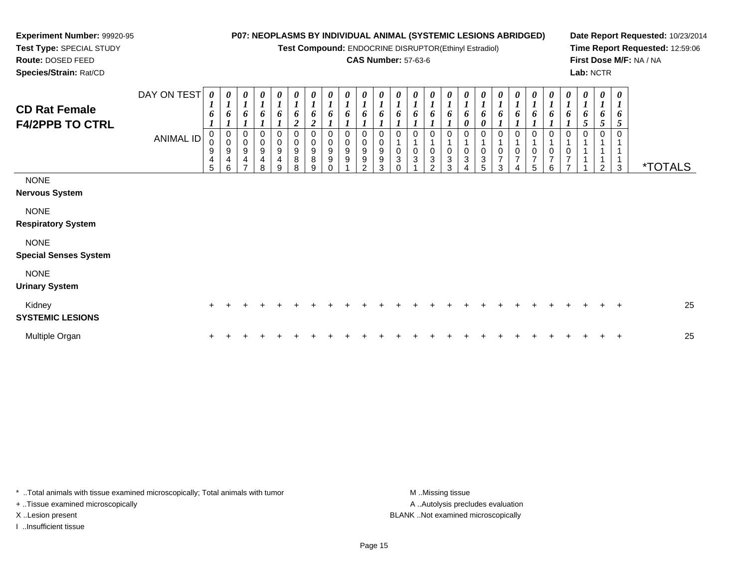**Test Compound:** ENDOCRINE DISRUPTOR(Ethinyl Estradiol)

#### **CAS Number:** 57-63-6

**Date Report Requested:** 10/23/2014**Time Report Requested:** 12:59:06**First Dose M/F:** NA / NA**Lab:** NCTR

**Test Type:** SPECIAL STUDY**Route:** DOSED FEED**Species/Strain:** Rat/CD

**Experiment Number:** 99920-95

| <b>CD Rat Female</b><br><b>F4/2PPB TO CTRL</b> | DAY ON TEST<br>ANIMAL ID | 0<br>$\mathbf{I}$<br>6<br>0<br>$\mathsf 0$<br>9<br>$\overline{\mathbf{4}}$<br>5 | 0<br>$\boldsymbol{l}$<br>6<br>$\pmb{0}$<br>$\mathbf 0$<br>$\boldsymbol{9}$<br>4<br>6 | 0<br>$\boldsymbol{l}$<br>6<br>$\mathbf 0$<br>9<br>4<br>⇁ | 0<br>$\overline{I}$<br>6<br>0<br>$\mathsf 0$<br>9<br>$\overline{\mathbf{4}}$<br>8 | $\boldsymbol{\theta}$<br>$\boldsymbol{l}$<br>6<br>0<br>$\mathbf 0$<br>9<br>4<br>9 | 0<br>$\boldsymbol{l}$<br>6<br>$\boldsymbol{2}$<br>0<br>$\pmb{0}$<br>$\boldsymbol{9}$<br>$\bf 8$<br>8 | $\boldsymbol{\theta}$<br>$\boldsymbol{l}$<br>6<br>$\boldsymbol{2}$<br>$\boldsymbol{0}$<br>$\boldsymbol{0}$<br>$\boldsymbol{9}$<br>8<br>9 | $\frac{\theta}{I}$<br>6<br>$\pmb{0}$<br>$\mathbf 0$<br>$\boldsymbol{9}$<br>$\boldsymbol{9}$<br>$\Omega$ | $\frac{\boldsymbol{\theta}}{\boldsymbol{I}}$<br>6<br>0<br>$\pmb{0}$<br>9<br>9 | $\begin{matrix} 0 \\ 1 \end{matrix}$<br>6<br>0<br>9<br>9<br>$\mathcal{P}$ | $\boldsymbol{\theta}$<br>$\boldsymbol{l}$<br>6<br>$\mathbf 0$<br>$\mathbf 0$<br>9<br>9<br>3 | 0<br>6<br>0<br>3<br>n | 0<br>6<br>$\Omega$<br>0<br>$\sqrt{3}$ | 0<br>$\boldsymbol{l}$<br>6<br>0<br>$\pmb{0}$<br>$\ensuremath{\mathsf{3}}$<br>$\overline{2}$ | 0<br>1<br>6<br>0<br>$\pmb{0}$<br>$\ensuremath{\mathsf{3}}$<br>3 | 0<br>$\boldsymbol{l}$<br>6<br>0<br>$\Omega$<br>0<br>3<br>4 | 0<br>$\boldsymbol{l}$<br>6<br>$\boldsymbol{\theta}$<br>0<br>$\pmb{0}$<br>$\ensuremath{\mathsf{3}}$<br>5 | $\boldsymbol{\theta}$<br>$\boldsymbol{l}$<br>6<br>$\pmb{0}$<br>$\overline{7}$<br>3 | 0<br>$\mathbf{r}$<br>6<br>0<br>0<br>$\overline{7}$<br>$\overline{A}$ | 0<br>6<br>0<br>$\mathbf 0$<br>$\overline{7}$<br>5 | 0<br>$\boldsymbol{l}$<br>6<br>0<br>$\frac{0}{7}$<br>6 | $\boldsymbol{\theta}$<br>$\boldsymbol{l}$<br>6<br>0<br>1<br>$\pmb{0}$<br>$\overline{7}$<br>$\overline{z}$ | $\frac{\theta}{I}$<br>6<br>5<br>$\mathbf 0$ | 0<br>$\boldsymbol{l}$<br>6<br>5<br>0<br>1<br>1<br>2 | 0<br>$\boldsymbol{l}$<br>6<br>5<br>$\mathbf{1}$<br>3 | <i><b>*TOTALS</b></i> |
|------------------------------------------------|--------------------------|---------------------------------------------------------------------------------|--------------------------------------------------------------------------------------|----------------------------------------------------------|-----------------------------------------------------------------------------------|-----------------------------------------------------------------------------------|------------------------------------------------------------------------------------------------------|------------------------------------------------------------------------------------------------------------------------------------------|---------------------------------------------------------------------------------------------------------|-------------------------------------------------------------------------------|---------------------------------------------------------------------------|---------------------------------------------------------------------------------------------|-----------------------|---------------------------------------|---------------------------------------------------------------------------------------------|-----------------------------------------------------------------|------------------------------------------------------------|---------------------------------------------------------------------------------------------------------|------------------------------------------------------------------------------------|----------------------------------------------------------------------|---------------------------------------------------|-------------------------------------------------------|-----------------------------------------------------------------------------------------------------------|---------------------------------------------|-----------------------------------------------------|------------------------------------------------------|-----------------------|
| <b>NONE</b><br><b>Nervous System</b>           |                          |                                                                                 |                                                                                      |                                                          |                                                                                   |                                                                                   |                                                                                                      |                                                                                                                                          |                                                                                                         |                                                                               |                                                                           |                                                                                             |                       |                                       |                                                                                             |                                                                 |                                                            |                                                                                                         |                                                                                    |                                                                      |                                                   |                                                       |                                                                                                           |                                             |                                                     |                                                      |                       |
| <b>NONE</b><br><b>Respiratory System</b>       |                          |                                                                                 |                                                                                      |                                                          |                                                                                   |                                                                                   |                                                                                                      |                                                                                                                                          |                                                                                                         |                                                                               |                                                                           |                                                                                             |                       |                                       |                                                                                             |                                                                 |                                                            |                                                                                                         |                                                                                    |                                                                      |                                                   |                                                       |                                                                                                           |                                             |                                                     |                                                      |                       |
| <b>NONE</b><br><b>Special Senses System</b>    |                          |                                                                                 |                                                                                      |                                                          |                                                                                   |                                                                                   |                                                                                                      |                                                                                                                                          |                                                                                                         |                                                                               |                                                                           |                                                                                             |                       |                                       |                                                                                             |                                                                 |                                                            |                                                                                                         |                                                                                    |                                                                      |                                                   |                                                       |                                                                                                           |                                             |                                                     |                                                      |                       |
| <b>NONE</b><br><b>Urinary System</b>           |                          |                                                                                 |                                                                                      |                                                          |                                                                                   |                                                                                   |                                                                                                      |                                                                                                                                          |                                                                                                         |                                                                               |                                                                           |                                                                                             |                       |                                       |                                                                                             |                                                                 |                                                            |                                                                                                         |                                                                                    |                                                                      |                                                   |                                                       |                                                                                                           |                                             |                                                     |                                                      |                       |
| Kidney<br><b>SYSTEMIC LESIONS</b>              |                          | $\ddot{}$                                                                       |                                                                                      |                                                          |                                                                                   |                                                                                   |                                                                                                      |                                                                                                                                          |                                                                                                         |                                                                               |                                                                           |                                                                                             |                       |                                       |                                                                                             |                                                                 |                                                            |                                                                                                         |                                                                                    |                                                                      |                                                   |                                                       |                                                                                                           |                                             |                                                     | $\ddot{}$                                            | 25                    |
| Multiple Organ                                 |                          |                                                                                 |                                                                                      |                                                          |                                                                                   |                                                                                   |                                                                                                      |                                                                                                                                          |                                                                                                         |                                                                               |                                                                           |                                                                                             |                       |                                       |                                                                                             |                                                                 |                                                            |                                                                                                         |                                                                                    |                                                                      |                                                   |                                                       |                                                                                                           |                                             |                                                     | $\ddot{}$                                            | 25                    |

\* ..Total animals with tissue examined microscopically; Total animals with tumor **M** . Missing tissue M ..Missing tissue + ..Tissue examined microscopically X ..Lesion present BLANK ..Not examined microscopically

I ..Insufficient tissue

A ..Autolysis precludes evaluation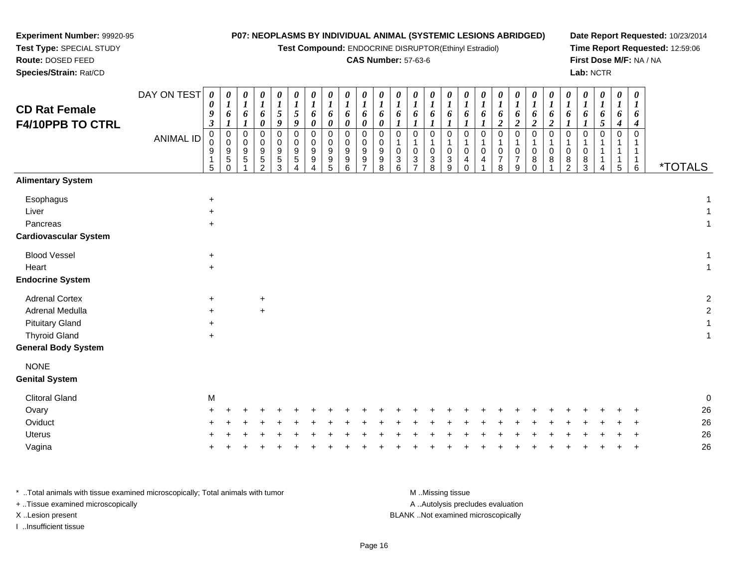#### **Experiment Number:** 99920-95**Test Type:** SPECIAL STUDY**P07: NEOPLASMS BY INDIVIDUAL ANIMAL (SYSTEMIC LESIONS ABRIDGED)**

**Test Compound:** ENDOCRINE DISRUPTOR(Ethinyl Estradiol)

### **CAS Number:** 57-63-6

**Date Report Requested:** 10/23/2014**Time Report Requested:** 12:59:06**First Dose M/F:** NA / NA**Lab:** NCTR

| <b>CD Rat Female</b><br>F4/10PPB TO CTRL | DAY ON TEST<br><b>ANIMAL ID</b> | 0<br>0<br>9<br>$\boldsymbol{\beta}$<br>0<br>$\pmb{0}$<br>9 | 0<br>$\boldsymbol{l}$<br>6<br>0<br>$\mathbf 0$<br>$9\,$<br>$\,$ 5 $\,$ | 0<br>$\boldsymbol{l}$<br>6<br>0<br>0<br>9<br>5 | 0<br>$\boldsymbol{l}$<br>6<br>0<br>0<br>0<br>9<br>$\frac{5}{2}$ | 0<br>1<br>5<br>9<br>$\mathbf 0$<br>0<br>$9\,$<br>$\frac{5}{3}$ | 0<br>$5\overline{)}$<br>9<br>0<br>0<br>9<br>5 | 0<br>6<br>0<br>0<br>0<br>9<br>9 | 0<br>$\boldsymbol{l}$<br>6<br>$\boldsymbol{\theta}$<br>$\mathbf 0$<br>0<br>9<br>$\frac{9}{5}$ | 0<br>$\boldsymbol{l}$<br>6<br>$\boldsymbol{\theta}$<br>$\mathbf 0$<br>0<br>9<br>9 | 0<br>$\boldsymbol{l}$<br>6<br>0<br>0<br>0<br>9<br>$\frac{9}{7}$ | $\boldsymbol{\theta}$<br>$\boldsymbol{l}$<br>6<br>0<br>$\mathbf 0$<br>0<br>$\boldsymbol{9}$<br>$\begin{array}{c} 9 \\ 8 \end{array}$ | 0<br>$\boldsymbol{l}$<br>6<br>1<br>0<br>1<br>0<br>$\ensuremath{\mathsf{3}}$ | 0<br>$\boldsymbol{l}$<br>6<br>0<br>$\mathbf{1}$<br>$\pmb{0}$<br>$\frac{3}{7}$ | $\boldsymbol{\theta}$<br>$\boldsymbol{l}$<br>6<br>$\boldsymbol{l}$<br>$\mathbf 0$<br>$\mathbf{1}$<br>$\mathbf 0$<br>$\frac{3}{8}$ | $\frac{\boldsymbol{\theta}}{\boldsymbol{I}}$<br>6<br>1<br>$\mathbf 0$<br>$\mathbf{1}$<br>0<br>$\frac{3}{9}$ | 0<br>$\boldsymbol{l}$<br>6<br>$\boldsymbol{l}$<br>$\Omega$<br>0<br>4 | 0<br>$\boldsymbol{l}$<br>6<br>1<br>$\mathbf 0$<br>1<br>0<br>4 | 0<br>6<br>$\overline{c}$<br>$\Omega$<br>$\mathbf 1$<br>0<br>$\overline{7}$ | 0<br>$\boldsymbol{l}$<br>6<br>$\overline{c}$<br>0<br>0<br>$\boldsymbol{7}$ | 0<br>$\boldsymbol{l}$<br>6<br>$\boldsymbol{2}$<br>$\mathbf 0$<br>$\mathbf{1}$<br>$\mathbf 0$<br>8 | 0<br>$\boldsymbol{l}$<br>6<br>$\boldsymbol{2}$<br>$\mathbf 0$<br>1<br>0<br>8 | 0<br>$\boldsymbol{l}$<br>6<br>$\boldsymbol{l}$<br>0<br>$\mathbf{1}$<br>0<br>$\frac{8}{2}$ | 0<br>$\boldsymbol{l}$<br>6<br>1<br>0<br>1<br>0<br>8 | 0<br>$\boldsymbol{l}$<br>6<br>5<br>0 | $\pmb{\theta}$<br>$\boldsymbol{l}$<br>6<br>4<br>0<br>1<br>1 | $\boldsymbol{\theta}$<br>1<br>6<br>4<br>$\mathbf 0$<br>1<br>$\mathbf{1}$<br>$\mathbf{1}$ |                       |    |
|------------------------------------------|---------------------------------|------------------------------------------------------------|------------------------------------------------------------------------|------------------------------------------------|-----------------------------------------------------------------|----------------------------------------------------------------|-----------------------------------------------|---------------------------------|-----------------------------------------------------------------------------------------------|-----------------------------------------------------------------------------------|-----------------------------------------------------------------|--------------------------------------------------------------------------------------------------------------------------------------|-----------------------------------------------------------------------------|-------------------------------------------------------------------------------|-----------------------------------------------------------------------------------------------------------------------------------|-------------------------------------------------------------------------------------------------------------|----------------------------------------------------------------------|---------------------------------------------------------------|----------------------------------------------------------------------------|----------------------------------------------------------------------------|---------------------------------------------------------------------------------------------------|------------------------------------------------------------------------------|-------------------------------------------------------------------------------------------|-----------------------------------------------------|--------------------------------------|-------------------------------------------------------------|------------------------------------------------------------------------------------------|-----------------------|----|
| <b>Alimentary System</b>                 |                                 | 5                                                          | $\Omega$                                                               |                                                |                                                                 |                                                                | $\Delta$                                      | $\Delta$                        |                                                                                               | $6\phantom{a}$                                                                    |                                                                 |                                                                                                                                      | $6\phantom{1}$                                                              |                                                                               |                                                                                                                                   |                                                                                                             | $\Omega$                                                             |                                                               | 8                                                                          | 9                                                                          | $\mathbf 0$                                                                                       |                                                                              |                                                                                           | 3                                                   |                                      | 5                                                           | $\,6\,$                                                                                  | <i><b>*TOTALS</b></i> |    |
|                                          |                                 |                                                            |                                                                        |                                                |                                                                 |                                                                |                                               |                                 |                                                                                               |                                                                                   |                                                                 |                                                                                                                                      |                                                                             |                                                                               |                                                                                                                                   |                                                                                                             |                                                                      |                                                               |                                                                            |                                                                            |                                                                                                   |                                                                              |                                                                                           |                                                     |                                      |                                                             |                                                                                          |                       |    |
| Esophagus                                |                                 | $\ddot{}$                                                  |                                                                        |                                                |                                                                 |                                                                |                                               |                                 |                                                                                               |                                                                                   |                                                                 |                                                                                                                                      |                                                                             |                                                                               |                                                                                                                                   |                                                                                                             |                                                                      |                                                               |                                                                            |                                                                            |                                                                                                   |                                                                              |                                                                                           |                                                     |                                      |                                                             |                                                                                          |                       |    |
| Liver                                    |                                 | $\ddot{}$                                                  |                                                                        |                                                |                                                                 |                                                                |                                               |                                 |                                                                                               |                                                                                   |                                                                 |                                                                                                                                      |                                                                             |                                                                               |                                                                                                                                   |                                                                                                             |                                                                      |                                                               |                                                                            |                                                                            |                                                                                                   |                                                                              |                                                                                           |                                                     |                                      |                                                             |                                                                                          |                       |    |
| Pancreas                                 |                                 | $+$                                                        |                                                                        |                                                |                                                                 |                                                                |                                               |                                 |                                                                                               |                                                                                   |                                                                 |                                                                                                                                      |                                                                             |                                                                               |                                                                                                                                   |                                                                                                             |                                                                      |                                                               |                                                                            |                                                                            |                                                                                                   |                                                                              |                                                                                           |                                                     |                                      |                                                             |                                                                                          |                       |    |
| <b>Cardiovascular System</b>             |                                 |                                                            |                                                                        |                                                |                                                                 |                                                                |                                               |                                 |                                                                                               |                                                                                   |                                                                 |                                                                                                                                      |                                                                             |                                                                               |                                                                                                                                   |                                                                                                             |                                                                      |                                                               |                                                                            |                                                                            |                                                                                                   |                                                                              |                                                                                           |                                                     |                                      |                                                             |                                                                                          |                       |    |
| <b>Blood Vessel</b>                      |                                 | $\ddot{}$                                                  |                                                                        |                                                |                                                                 |                                                                |                                               |                                 |                                                                                               |                                                                                   |                                                                 |                                                                                                                                      |                                                                             |                                                                               |                                                                                                                                   |                                                                                                             |                                                                      |                                                               |                                                                            |                                                                            |                                                                                                   |                                                                              |                                                                                           |                                                     |                                      |                                                             |                                                                                          |                       |    |
| Heart                                    |                                 | $+$                                                        |                                                                        |                                                |                                                                 |                                                                |                                               |                                 |                                                                                               |                                                                                   |                                                                 |                                                                                                                                      |                                                                             |                                                                               |                                                                                                                                   |                                                                                                             |                                                                      |                                                               |                                                                            |                                                                            |                                                                                                   |                                                                              |                                                                                           |                                                     |                                      |                                                             |                                                                                          |                       | 1  |
| <b>Endocrine System</b>                  |                                 |                                                            |                                                                        |                                                |                                                                 |                                                                |                                               |                                 |                                                                                               |                                                                                   |                                                                 |                                                                                                                                      |                                                                             |                                                                               |                                                                                                                                   |                                                                                                             |                                                                      |                                                               |                                                                            |                                                                            |                                                                                                   |                                                                              |                                                                                           |                                                     |                                      |                                                             |                                                                                          |                       |    |
| <b>Adrenal Cortex</b>                    |                                 | $\ddot{}$                                                  |                                                                        |                                                | $+$                                                             |                                                                |                                               |                                 |                                                                                               |                                                                                   |                                                                 |                                                                                                                                      |                                                                             |                                                                               |                                                                                                                                   |                                                                                                             |                                                                      |                                                               |                                                                            |                                                                            |                                                                                                   |                                                                              |                                                                                           |                                                     |                                      |                                                             |                                                                                          |                       |    |
| Adrenal Medulla                          |                                 | $+$                                                        |                                                                        |                                                | $+$                                                             |                                                                |                                               |                                 |                                                                                               |                                                                                   |                                                                 |                                                                                                                                      |                                                                             |                                                                               |                                                                                                                                   |                                                                                                             |                                                                      |                                                               |                                                                            |                                                                            |                                                                                                   |                                                                              |                                                                                           |                                                     |                                      |                                                             |                                                                                          |                       |    |
| <b>Pituitary Gland</b>                   |                                 | $+$                                                        |                                                                        |                                                |                                                                 |                                                                |                                               |                                 |                                                                                               |                                                                                   |                                                                 |                                                                                                                                      |                                                                             |                                                                               |                                                                                                                                   |                                                                                                             |                                                                      |                                                               |                                                                            |                                                                            |                                                                                                   |                                                                              |                                                                                           |                                                     |                                      |                                                             |                                                                                          |                       |    |
| <b>Thyroid Gland</b>                     |                                 | $+$                                                        |                                                                        |                                                |                                                                 |                                                                |                                               |                                 |                                                                                               |                                                                                   |                                                                 |                                                                                                                                      |                                                                             |                                                                               |                                                                                                                                   |                                                                                                             |                                                                      |                                                               |                                                                            |                                                                            |                                                                                                   |                                                                              |                                                                                           |                                                     |                                      |                                                             |                                                                                          |                       |    |
| <b>General Body System</b>               |                                 |                                                            |                                                                        |                                                |                                                                 |                                                                |                                               |                                 |                                                                                               |                                                                                   |                                                                 |                                                                                                                                      |                                                                             |                                                                               |                                                                                                                                   |                                                                                                             |                                                                      |                                                               |                                                                            |                                                                            |                                                                                                   |                                                                              |                                                                                           |                                                     |                                      |                                                             |                                                                                          |                       |    |
| <b>NONE</b>                              |                                 |                                                            |                                                                        |                                                |                                                                 |                                                                |                                               |                                 |                                                                                               |                                                                                   |                                                                 |                                                                                                                                      |                                                                             |                                                                               |                                                                                                                                   |                                                                                                             |                                                                      |                                                               |                                                                            |                                                                            |                                                                                                   |                                                                              |                                                                                           |                                                     |                                      |                                                             |                                                                                          |                       |    |
| <b>Genital System</b>                    |                                 |                                                            |                                                                        |                                                |                                                                 |                                                                |                                               |                                 |                                                                                               |                                                                                   |                                                                 |                                                                                                                                      |                                                                             |                                                                               |                                                                                                                                   |                                                                                                             |                                                                      |                                                               |                                                                            |                                                                            |                                                                                                   |                                                                              |                                                                                           |                                                     |                                      |                                                             |                                                                                          |                       |    |
| <b>Clitoral Gland</b>                    |                                 | M                                                          |                                                                        |                                                |                                                                 |                                                                |                                               |                                 |                                                                                               |                                                                                   |                                                                 |                                                                                                                                      |                                                                             |                                                                               |                                                                                                                                   |                                                                                                             |                                                                      |                                                               |                                                                            |                                                                            |                                                                                                   |                                                                              |                                                                                           |                                                     |                                      |                                                             |                                                                                          |                       | O  |
| Ovary                                    |                                 |                                                            |                                                                        |                                                |                                                                 |                                                                |                                               |                                 |                                                                                               |                                                                                   |                                                                 |                                                                                                                                      |                                                                             |                                                                               |                                                                                                                                   |                                                                                                             |                                                                      |                                                               |                                                                            |                                                                            |                                                                                                   |                                                                              |                                                                                           |                                                     |                                      |                                                             |                                                                                          |                       | 26 |
| Oviduct                                  |                                 |                                                            |                                                                        |                                                |                                                                 |                                                                |                                               |                                 |                                                                                               |                                                                                   |                                                                 |                                                                                                                                      |                                                                             |                                                                               |                                                                                                                                   |                                                                                                             |                                                                      |                                                               |                                                                            |                                                                            |                                                                                                   |                                                                              |                                                                                           |                                                     |                                      |                                                             |                                                                                          |                       | 26 |
| <b>Uterus</b>                            |                                 |                                                            |                                                                        |                                                |                                                                 |                                                                |                                               |                                 |                                                                                               |                                                                                   |                                                                 |                                                                                                                                      |                                                                             |                                                                               |                                                                                                                                   |                                                                                                             |                                                                      |                                                               |                                                                            |                                                                            |                                                                                                   |                                                                              |                                                                                           |                                                     |                                      |                                                             |                                                                                          |                       | 26 |
| Vagina                                   |                                 |                                                            |                                                                        |                                                |                                                                 |                                                                |                                               |                                 |                                                                                               |                                                                                   |                                                                 |                                                                                                                                      |                                                                             |                                                                               |                                                                                                                                   |                                                                                                             |                                                                      |                                                               |                                                                            |                                                                            |                                                                                                   |                                                                              |                                                                                           |                                                     |                                      |                                                             |                                                                                          |                       | 26 |
|                                          |                                 |                                                            |                                                                        |                                                |                                                                 |                                                                |                                               |                                 |                                                                                               |                                                                                   |                                                                 |                                                                                                                                      |                                                                             |                                                                               |                                                                                                                                   |                                                                                                             |                                                                      |                                                               |                                                                            |                                                                            |                                                                                                   |                                                                              |                                                                                           |                                                     |                                      |                                                             |                                                                                          |                       |    |

\* ..Total animals with tissue examined microscopically; Total animals with tumor **M** . Missing tissue M ..Missing tissue A ..Autolysis precludes evaluation + ..Tissue examined microscopically X ..Lesion present BLANK ..Not examined microscopicallyI ..Insufficient tissue

**Route:** DOSED FEED**Species/Strain:** Rat/CD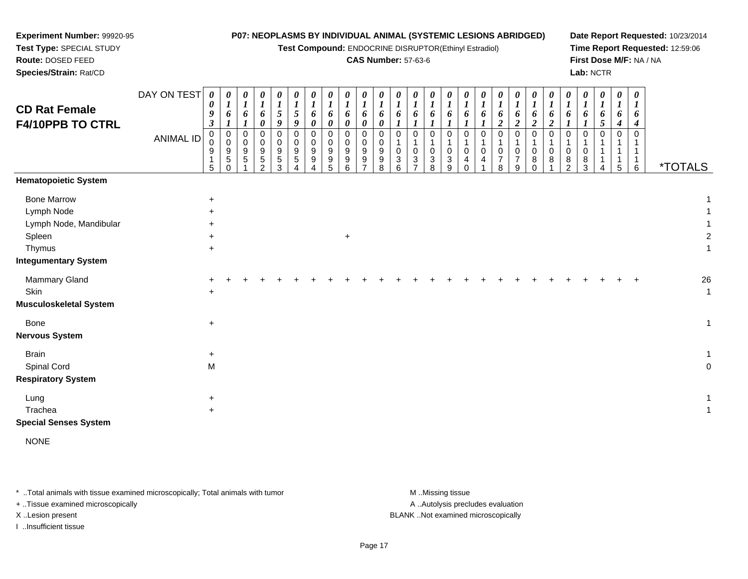| Experiment Number: 99920-95   |                                                                                     |                          |                            |                            |                     |                       |                                    |                         |                  |                       |                       |                       |                       |   |             |                  |                       | P07: NEOPLASMS BY INDIVIDUAL ANIMAL (SYSTEMIC LESIONS ABRIDGED) |                                 |                              |                       |                       |                       |          |                 |                       |                       | Date Report Requested: 10/23/2014 |
|-------------------------------|-------------------------------------------------------------------------------------|--------------------------|----------------------------|----------------------------|---------------------|-----------------------|------------------------------------|-------------------------|------------------|-----------------------|-----------------------|-----------------------|-----------------------|---|-------------|------------------|-----------------------|-----------------------------------------------------------------|---------------------------------|------------------------------|-----------------------|-----------------------|-----------------------|----------|-----------------|-----------------------|-----------------------|-----------------------------------|
| Test Type: SPECIAL STUDY      | Test Compound: ENDOCRINE DISRUPTOR(Ethinyl Estradiol)<br><b>CAS Number: 57-63-6</b> |                          |                            |                            |                     |                       |                                    |                         |                  |                       |                       |                       |                       |   |             |                  |                       |                                                                 | Time Report Requested: 12:59:06 |                              |                       |                       |                       |          |                 |                       |                       |                                   |
| Route: DOSED FEED             |                                                                                     |                          |                            |                            |                     |                       |                                    |                         |                  |                       |                       |                       |                       |   |             |                  |                       |                                                                 |                                 |                              |                       |                       |                       |          |                 |                       |                       | First Dose M/F: NA / NA           |
| Species/Strain: Rat/CD        |                                                                                     |                          |                            |                            |                     |                       |                                    |                         |                  |                       |                       |                       |                       |   |             |                  |                       |                                                                 |                                 |                              |                       |                       |                       |          | Lab: NCTR       |                       |                       |                                   |
|                               | DAY ON TEST                                                                         | 0                        | 0                          | $\boldsymbol{\theta}$      | 0                   | $\boldsymbol{\theta}$ | $\boldsymbol{\theta}$              | 0                       | 0                | $\boldsymbol{\theta}$ | $\boldsymbol{\theta}$ | $\boldsymbol{\theta}$ | $\boldsymbol{\theta}$ | 0 | 0           | $\theta$         | $\boldsymbol{\theta}$ | 0                                                               | $\boldsymbol{\theta}$           | $\boldsymbol{\theta}$        | $\theta$              | $\boldsymbol{\theta}$ | $\boldsymbol{\theta}$ |          | 0               | 0                     | $\boldsymbol{\theta}$ |                                   |
| <b>CD Rat Female</b>          |                                                                                     | 0<br>9                   | $\bm{l}$                   | $\boldsymbol{l}$           | $\boldsymbol{l}$    | $\boldsymbol{l}$      | $\boldsymbol{l}$<br>$\mathfrak{s}$ | $\boldsymbol{l}$        | $\boldsymbol{l}$ | $\boldsymbol{l}$      |                       | $\bm{l}$              | $\boldsymbol{l}$      | 1 |             | $\boldsymbol{l}$ | $\boldsymbol{l}$      | $\boldsymbol{l}$                                                |                                 | 1                            |                       |                       | $\boldsymbol{I}$      | 1        |                 | $\boldsymbol{l}$      | $\bm{l}$<br>6         |                                   |
| F4/10PPB TO CTRL              |                                                                                     | $\boldsymbol{\beta}$     | 6                          | 6<br>1                     | 6<br>$\pmb{\theta}$ | $\mathfrak{s}$<br>9   | 9                                  | 6<br>0                  | 6<br>0           | 6<br>0                | 6<br>0                | 6<br>0                | 6                     | 6 | 6           | 6                | 6                     | 6                                                               | 6<br>$\boldsymbol{2}$           | 6<br>$\overline{\mathbf{2}}$ | 6<br>$\boldsymbol{2}$ | 6<br>$\boldsymbol{2}$ | 6                     |          | 6<br>$\sqrt{5}$ | 6<br>$\boldsymbol{4}$ | 4                     |                                   |
|                               | <b>ANIMAL ID</b>                                                                    | $\pmb{0}$<br>$\mathbf 0$ | $\mathbf 0$<br>$\mathbf 0$ | $\mathbf 0$<br>$\mathbf 0$ | $\pmb{0}$           | $\mathbf 0$           | $\mathbf 0$<br>$\Omega$            | $\mathbf 0$<br>$\Omega$ | 0                | $\mathbf 0$           | $\Omega$<br>$\Omega$  | $\mathbf 0$           | $\mathbf 0$           | 0 | 0           | $\mathbf 0$      | $\mathbf 0$           | $\mathbf 0$                                                     | $\mathbf 0$                     | $\Omega$                     | $\mathbf 0$           | $\mathbf 0$           | 0                     | $\Omega$ | $\mathbf 0$     | $\mathbf 0$           | $\Omega$              |                                   |
|                               |                                                                                     | 9                        | 9                          | 9                          | $\mathbf 0$<br>9    | $\mathbf 0$<br>9      | 9                                  | 9                       | $\mathbf 0$<br>9 | 0<br>9                | 9                     | 0<br>9                | 1<br>$\Omega$         | 0 | $\mathbf 0$ | $\mathbf 0$      | 0                     | 0                                                               | $\Omega$                        | $\Omega$                     | $\Omega$              | $\mathbf 0$           | 1<br>0                | 0        |                 | 1                     | $\mathbf{1}$          |                                   |
|                               |                                                                                     | 5                        | $\sqrt{5}$<br>$\mathbf 0$  | 5                          | 5<br>$\overline{c}$ | 5<br>3                | 5                                  | 9                       | 9<br>5           | 9<br>6                | 9                     | 9<br>8                | 3<br>6                | 3 | 3<br>8      | 3<br>9           | 4<br>$\Omega$         | 4                                                               | 8                               | 7<br>9                       | 8<br>0                | 8                     | 8<br>$\overline{c}$   | 8<br>3   | Δ               | $\,$ 5 $\,$           | 1<br>6                | <i><b>*TOTALS</b></i>             |
| <b>Hematopoietic System</b>   |                                                                                     |                          |                            |                            |                     |                       |                                    |                         |                  |                       |                       |                       |                       |   |             |                  |                       |                                                                 |                                 |                              |                       |                       |                       |          |                 |                       |                       |                                   |
| <b>Bone Marrow</b>            |                                                                                     | $\ddot{}$                |                            |                            |                     |                       |                                    |                         |                  |                       |                       |                       |                       |   |             |                  |                       |                                                                 |                                 |                              |                       |                       |                       |          |                 |                       |                       |                                   |
| Lymph Node                    |                                                                                     | $\ddot{}$                |                            |                            |                     |                       |                                    |                         |                  |                       |                       |                       |                       |   |             |                  |                       |                                                                 |                                 |                              |                       |                       |                       |          |                 |                       |                       |                                   |
| Lymph Node, Mandibular        |                                                                                     |                          |                            |                            |                     |                       |                                    |                         |                  |                       |                       |                       |                       |   |             |                  |                       |                                                                 |                                 |                              |                       |                       |                       |          |                 |                       |                       |                                   |
| Spleen                        |                                                                                     | $\ddot{}$                |                            |                            |                     |                       |                                    |                         |                  | $\ddot{}$             |                       |                       |                       |   |             |                  |                       |                                                                 |                                 |                              |                       |                       |                       |          |                 |                       |                       |                                   |
| Thymus                        |                                                                                     | $\ddot{}$                |                            |                            |                     |                       |                                    |                         |                  |                       |                       |                       |                       |   |             |                  |                       |                                                                 |                                 |                              |                       |                       |                       |          |                 |                       |                       |                                   |
| <b>Integumentary System</b>   |                                                                                     |                          |                            |                            |                     |                       |                                    |                         |                  |                       |                       |                       |                       |   |             |                  |                       |                                                                 |                                 |                              |                       |                       |                       |          |                 |                       |                       |                                   |
| Mammary Gland                 |                                                                                     |                          |                            |                            |                     |                       |                                    |                         |                  |                       |                       |                       |                       |   |             |                  |                       |                                                                 |                                 |                              |                       |                       |                       |          |                 |                       |                       | 26                                |
| Skin                          |                                                                                     | $\ddot{}$                |                            |                            |                     |                       |                                    |                         |                  |                       |                       |                       |                       |   |             |                  |                       |                                                                 |                                 |                              |                       |                       |                       |          |                 |                       |                       | 1                                 |
| <b>Musculoskeletal System</b> |                                                                                     |                          |                            |                            |                     |                       |                                    |                         |                  |                       |                       |                       |                       |   |             |                  |                       |                                                                 |                                 |                              |                       |                       |                       |          |                 |                       |                       |                                   |
| Bone                          |                                                                                     | $\ddot{}$                |                            |                            |                     |                       |                                    |                         |                  |                       |                       |                       |                       |   |             |                  |                       |                                                                 |                                 |                              |                       |                       |                       |          |                 |                       |                       | 1                                 |
| <b>Nervous System</b>         |                                                                                     |                          |                            |                            |                     |                       |                                    |                         |                  |                       |                       |                       |                       |   |             |                  |                       |                                                                 |                                 |                              |                       |                       |                       |          |                 |                       |                       |                                   |
| <b>Brain</b>                  |                                                                                     | $\ddot{}$                |                            |                            |                     |                       |                                    |                         |                  |                       |                       |                       |                       |   |             |                  |                       |                                                                 |                                 |                              |                       |                       |                       |          |                 |                       |                       |                                   |
| Spinal Cord                   |                                                                                     | M                        |                            |                            |                     |                       |                                    |                         |                  |                       |                       |                       |                       |   |             |                  |                       |                                                                 |                                 |                              |                       |                       |                       |          |                 |                       |                       | 0                                 |
| <b>Respiratory System</b>     |                                                                                     |                          |                            |                            |                     |                       |                                    |                         |                  |                       |                       |                       |                       |   |             |                  |                       |                                                                 |                                 |                              |                       |                       |                       |          |                 |                       |                       |                                   |
| Lung                          |                                                                                     | $\ddot{}$                |                            |                            |                     |                       |                                    |                         |                  |                       |                       |                       |                       |   |             |                  |                       |                                                                 |                                 |                              |                       |                       |                       |          |                 |                       |                       | 1                                 |
| Trachea                       |                                                                                     | $\ddot{}$                |                            |                            |                     |                       |                                    |                         |                  |                       |                       |                       |                       |   |             |                  |                       |                                                                 |                                 |                              |                       |                       |                       |          |                 |                       |                       | 1                                 |
| <b>Special Senses System</b>  |                                                                                     |                          |                            |                            |                     |                       |                                    |                         |                  |                       |                       |                       |                       |   |             |                  |                       |                                                                 |                                 |                              |                       |                       |                       |          |                 |                       |                       |                                   |

NONE

\* ..Total animals with tissue examined microscopically; Total animals with tumor M..Missing tissue M ..Missing tissue A ..Autolysis precludes evaluation + ..Tissue examined microscopically X ..Lesion present BLANK ..Not examined microscopicallyI ..Insufficient tissue

Page 17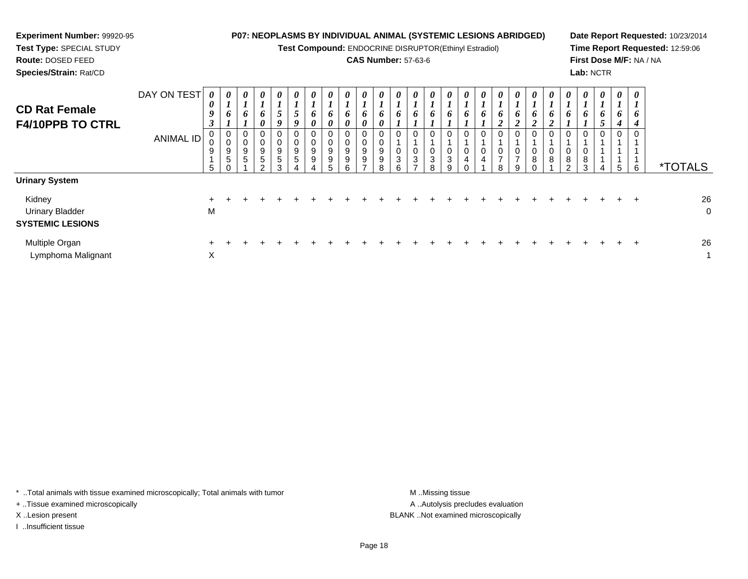| <b>Experiment Number: 99920-95</b><br>Test Type: SPECIAL STUDY<br>Route: DOSED FEED<br>Species/Strain: Rat/CD |                  |                            |                       |                       |                            |                       |                       | P07: NEOPLASMS BY INDIVIDUAL ANIMAL (SYSTEMIC LESIONS ABRIDGED)<br>Test Compound: ENDOCRINE DISRUPTOR(Ethinyl Estradiol) | <b>CAS Number: 57-63-6</b> |   |          |          |        |  |          |   |  | Lab: NCTR |          |   | First Dose M/F: NA / NA | Date Report Requested: 10/23/2014<br>Time Report Requested: 12:59:06 |
|---------------------------------------------------------------------------------------------------------------|------------------|----------------------------|-----------------------|-----------------------|----------------------------|-----------------------|-----------------------|--------------------------------------------------------------------------------------------------------------------------|----------------------------|---|----------|----------|--------|--|----------|---|--|-----------|----------|---|-------------------------|----------------------------------------------------------------------|
| <b>CD Rat Female</b><br><b>F4/10PPB TO CTRL</b>                                                               | DAY ON TEST      | $\boldsymbol{\theta}$<br>0 | $\boldsymbol{\theta}$ | $\boldsymbol{\theta}$ | $\boldsymbol{\theta}$<br>6 | $\boldsymbol{\theta}$ | $\boldsymbol{\theta}$ | $\theta$                                                                                                                 | $\theta$                   |   | $\theta$ | $\theta$ |        |  | $\theta$ |   |  | $\theta$  | $\theta$ | 4 |                         |                                                                      |
|                                                                                                               | <b>ANIMAL ID</b> | 9<br>5                     | 9<br>5                | 9                     | 0<br>9<br>5                | 9<br>3                | 9                     | 9<br>9                                                                                                                   |                            | 9 | 0<br>3   |          | 3<br>g |  |          | 8 |  | 8<br>3    |          |   | 6                       | <i><b>*TOTALS</b></i>                                                |
| <b>Urinary System</b>                                                                                         |                  |                            |                       |                       |                            |                       |                       |                                                                                                                          |                            |   |          |          |        |  |          |   |  |           |          |   |                         |                                                                      |
| Kidney<br><b>Urinary Bladder</b><br><b>SYSTEMIC LESIONS</b>                                                   |                  | M                          |                       |                       |                            |                       |                       |                                                                                                                          |                            |   |          |          |        |  |          |   |  |           |          |   |                         | 26<br>$\mathbf 0$                                                    |
| Multiple Organ<br>Lymphoma Malignant                                                                          |                  | X                          |                       |                       |                            |                       |                       |                                                                                                                          |                            |   |          |          |        |  |          |   |  |           |          |   |                         | 26                                                                   |

\* ..Total animals with tissue examined microscopically; Total animals with tumor M..Missing tissue M

+ ..Tissue examined microscopically

I ..Insufficient tissue

A ..Autolysis precludes evaluation X ..Lesion present BLANK ..Not examined microscopically

 $\chi$  and  $\eta$  and  $\eta$  and  $\eta$  and  $\eta$  and  $\eta$  and  $\eta$  and  $\eta$  and  $\eta$  and  $\eta$  and  $\eta$  and  $\eta$  and  $\eta$  and  $\eta$  and  $\eta$  and  $\eta$  and  $\eta$  and  $\eta$  and  $\eta$  and  $\eta$  and  $\eta$  and  $\eta$  and  $\eta$  and  $\eta$  and  $\eta$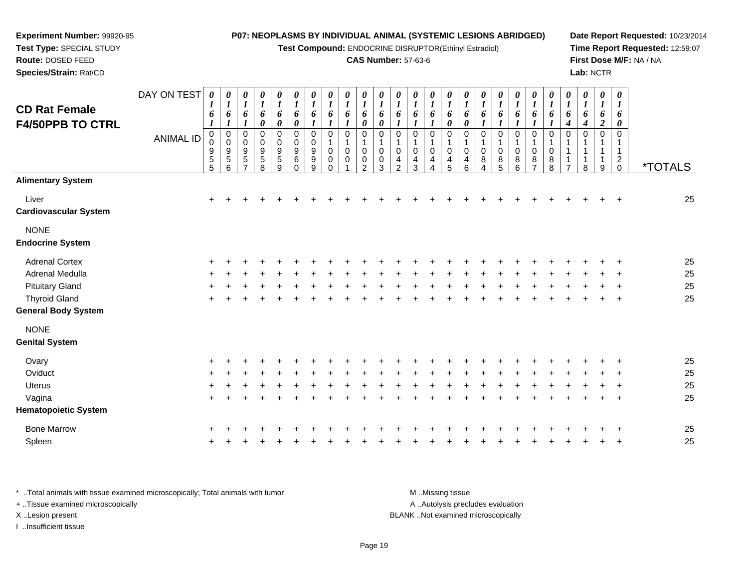#### **Experiment Number:** 99920-95**Test Type:** SPECIAL STUDY**Route:** DOSED FEED **Species/Strain:** Rat/CD**P07: NEOPLASMS BY INDIVIDUAL ANIMAL (SYSTEMIC LESIONS ABRIDGED)Test Compound:** ENDOCRINE DISRUPTOR(Ethinyl Estradiol)**CAS Number:** 57-63-6**Date Report Requested:** 10/23/2014**Time Report Requested:** 12:59:07**First Dose M/F:** NA / NA**Lab:** NCTRDAY ON TEST**CD Rat Female F4/50PPB TO CTRL**ANIMAL ID*0 1 6 1* 0 0 9 5 5*0 1 6 1* 0 0 9 5 6*0 1 6 1* 0 0 9 5 7*0 1 6 0* 0 0 9 5 8*0 1 6 0* 0 0 9 5 9*0 1 6 0* 0 0 9 6 0*0 1 6 1* 0 0 9 9 9*0 1 6 1* 0 1 0 0 0*0 1 6 1* 0 1 0 0 1*0 1 6 0* 0 1 0 0 2*0 1 6 0* 0 1 0 0 3*0 1 6 1* 0 1 0 4 2*0 1 6 1* 0 1 0 4 3*0 1 6 1* 0 1 0 4 4*0 1 6 0* 0 1 0 4 5*0 1 6 0* 0 1 0 4 6*0 1 6 1* 0 1 0 8 4*0 1 6 1* 0 1 0 8 5*0 1 6 1* 0 1 0 8 6*0 1 6 1* 0 1 0 8 7*0 1 6 1* 0 1 0 8 8*0 1 6 4* 0 1 1 1 7*0 1 6 4* 0 1 1 1 8*0 1 6 2* 0 1 1 1 9*0 1 6 0* 0 1 12<br>^ 0 \*TOTALS**Alimentary System**Liver $\mathsf{r}$  + <sup>+</sup> <sup>+</sup> <sup>+</sup> <sup>+</sup> <sup>+</sup> <sup>+</sup> <sup>+</sup> <sup>+</sup> <sup>+</sup> <sup>+</sup> <sup>+</sup> <sup>+</sup> <sup>+</sup> <sup>+</sup> <sup>+</sup> <sup>+</sup> <sup>+</sup> <sup>+</sup> <sup>+</sup> <sup>+</sup> <sup>+</sup> <sup>+</sup> <sup>+</sup> <sup>+</sup> <sup>25</sup> **Cardiovascular System**NONE **Endocrine System**Adrenal Cortex $\times$  + <sup>+</sup> <sup>+</sup> <sup>+</sup> <sup>+</sup> <sup>+</sup> <sup>+</sup> <sup>+</sup> <sup>+</sup> <sup>+</sup> <sup>+</sup> <sup>+</sup> <sup>+</sup> <sup>+</sup> <sup>+</sup> <sup>+</sup> <sup>+</sup> <sup>+</sup> <sup>+</sup> <sup>+</sup> <sup>+</sup> <sup>+</sup> <sup>+</sup> <sup>+</sup> <sup>+</sup> <sup>25</sup> Adrenal Medullaa  $+$  <sup>+</sup> <sup>+</sup> <sup>+</sup> <sup>+</sup> <sup>+</sup> <sup>+</sup> <sup>+</sup> <sup>+</sup> <sup>+</sup> <sup>+</sup> <sup>+</sup> <sup>+</sup> <sup>+</sup> <sup>+</sup> <sup>+</sup> <sup>+</sup> <sup>+</sup> <sup>+</sup> <sup>+</sup> <sup>+</sup> <sup>+</sup> <sup>+</sup> <sup>+</sup> <sup>+</sup> <sup>25</sup> Pituitary Gland $\alpha$  + <sup>+</sup> <sup>+</sup> <sup>+</sup> <sup>+</sup> <sup>+</sup> <sup>+</sup> <sup>+</sup> <sup>+</sup> <sup>+</sup> <sup>+</sup> <sup>+</sup> <sup>+</sup> <sup>+</sup> <sup>+</sup> <sup>+</sup> <sup>+</sup> <sup>+</sup> <sup>+</sup> <sup>+</sup> <sup>+</sup> <sup>+</sup> <sup>+</sup> <sup>+</sup> <sup>+</sup> <sup>25</sup> Thyroid Glandd  $+$  <sup>+</sup> <sup>+</sup> <sup>+</sup> <sup>+</sup> <sup>+</sup> <sup>+</sup> <sup>+</sup> <sup>+</sup> <sup>+</sup> <sup>+</sup> <sup>+</sup> <sup>+</sup> <sup>+</sup> <sup>+</sup> <sup>+</sup> <sup>+</sup> <sup>+</sup> <sup>+</sup> <sup>+</sup> <sup>+</sup> <sup>+</sup> <sup>+</sup> <sup>+</sup> <sup>+</sup> <sup>25</sup> **General Body System**NONE **Genital SystemOvary**  <sup>+</sup> <sup>+</sup> <sup>+</sup> <sup>+</sup> <sup>+</sup> <sup>+</sup> <sup>+</sup> <sup>+</sup> <sup>+</sup> <sup>+</sup> <sup>+</sup> <sup>+</sup> <sup>+</sup> <sup>+</sup> <sup>+</sup> <sup>+</sup> <sup>+</sup> <sup>+</sup> <sup>+</sup> <sup>+</sup> <sup>+</sup> <sup>+</sup> <sup>+</sup> <sup>+</sup> <sup>+</sup> <sup>25</sup> **Oviduct**  $\mathfrak{t}$  + <sup>+</sup> <sup>+</sup> <sup>+</sup> <sup>+</sup> <sup>+</sup> <sup>+</sup> <sup>+</sup> <sup>+</sup> <sup>+</sup> <sup>+</sup> <sup>+</sup> <sup>+</sup> <sup>+</sup> <sup>+</sup> <sup>+</sup> <sup>+</sup> <sup>+</sup> <sup>+</sup> <sup>+</sup> <sup>+</sup> <sup>+</sup> <sup>+</sup> <sup>+</sup> <sup>+</sup> <sup>25</sup> **Uterus**  <sup>+</sup> <sup>+</sup> <sup>+</sup> <sup>+</sup> <sup>+</sup> <sup>+</sup> <sup>+</sup> <sup>+</sup> <sup>+</sup> <sup>+</sup> <sup>+</sup> <sup>+</sup> <sup>+</sup> <sup>+</sup> <sup>+</sup> <sup>+</sup> <sup>+</sup> <sup>+</sup> <sup>+</sup> <sup>+</sup> <sup>+</sup> <sup>+</sup> <sup>+</sup> <sup>+</sup> <sup>+</sup> <sup>25</sup> Vaginaa  $+$ <sup>+</sup> <sup>+</sup> <sup>+</sup> <sup>+</sup> <sup>+</sup> <sup>+</sup> <sup>+</sup> <sup>+</sup> <sup>+</sup> <sup>+</sup> <sup>+</sup> <sup>+</sup> <sup>+</sup> <sup>+</sup> <sup>+</sup> <sup>+</sup> <sup>+</sup> <sup>+</sup> <sup>+</sup> <sup>+</sup> <sup>+</sup> <sup>+</sup> <sup>+</sup> <sup>+</sup> <sup>25</sup>

**Hematopoietic System**

Bone Marrow <sup>+</sup> <sup>+</sup> <sup>+</sup> <sup>+</sup> <sup>+</sup> <sup>+</sup> <sup>+</sup> <sup>+</sup> <sup>+</sup> <sup>+</sup> <sup>+</sup> <sup>+</sup> <sup>+</sup> <sup>+</sup> <sup>+</sup> <sup>+</sup> <sup>+</sup> <sup>+</sup> <sup>+</sup> <sup>+</sup> <sup>+</sup> <sup>+</sup> <sup>+</sup> <sup>+</sup> <sup>+</sup> <sup>25</sup> Spleenn  $+$ <sup>+</sup> <sup>+</sup> <sup>+</sup> <sup>+</sup> <sup>+</sup> <sup>+</sup> <sup>+</sup> <sup>+</sup> <sup>+</sup> <sup>+</sup> <sup>+</sup> <sup>+</sup> <sup>+</sup> <sup>+</sup> <sup>+</sup> <sup>+</sup> <sup>+</sup> <sup>+</sup> <sup>+</sup> <sup>+</sup> <sup>+</sup> <sup>+</sup> <sup>+</sup> <sup>+</sup> <sup>25</sup>

\* ..Total animals with tissue examined microscopically; Total animals with tumor M ...Missing tissue M ...Missing tissue A ..Autolysis precludes evaluation + ..Tissue examined microscopically X ..Lesion present BLANK ..Not examined microscopicallyI ..Insufficient tissue